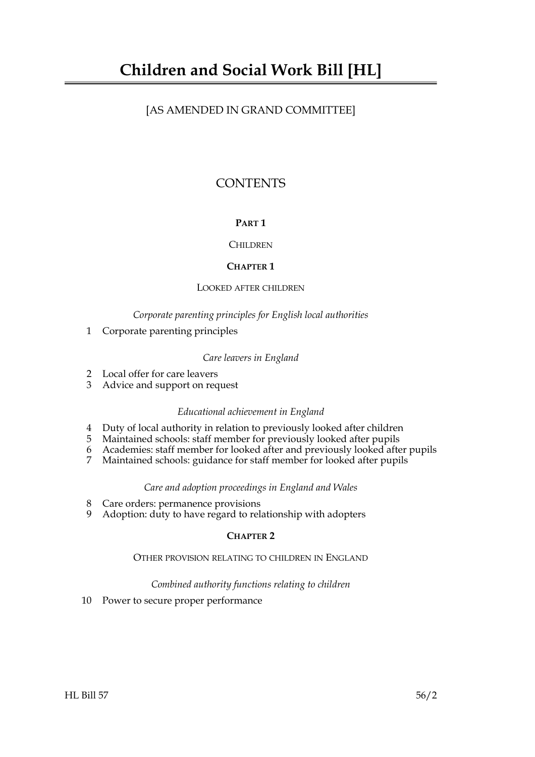# [AS AMENDED IN GRAND COMMITTEE]

# **CONTENTS**

# **PART 1**

# **CHILDREN**

# **CHAPTER 1**

# LOOKED AFTER CHILDREN

# *Corporate parenting principles for English local authorities*

1 Corporate parenting principles

# *Care leavers in England*

- 2 Local offer for care leavers
- 3 Advice and support on request

# *Educational achievement in England*

- 4 Duty of local authority in relation to previously looked after children
- 5 Maintained schools: staff member for previously looked after pupils
- 6 Academies: staff member for looked after and previously looked after pupils
- 7 Maintained schools: guidance for staff member for looked after pupils

# *Care and adoption proceedings in England and Wales*

- 8 Care orders: permanence provisions
- 9 Adoption: duty to have regard to relationship with adopters

# **CHAPTER 2**

# OTHER PROVISION RELATING TO CHILDREN IN ENGLAND

# *Combined authority functions relating to children*

10 Power to secure proper performance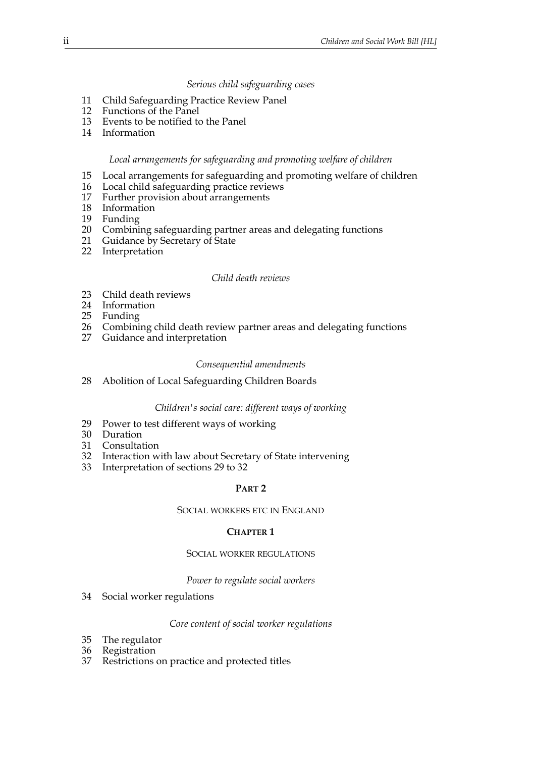# *Serious child safeguarding cases*

- 11 Child Safeguarding Practice Review Panel
- 12 Functions of the Panel
- 13 Events to be notified to the Panel
- 14 Information

#### *Local arrangements for safeguarding and promoting welfare of children*

- 15 Local arrangements for safeguarding and promoting welfare of children<br>16 Local child safeguarding practice reviews
- 16 Local child safeguarding practice reviews<br>17 Further provision about arrangements
- Further provision about arrangements
- 18 Information
- 19 Funding
- 20 Combining safeguarding partner areas and delegating functions<br>21 Guidance by Secretary of State
- Guidance by Secretary of State
- 22 Interpretation

#### *Child death reviews*

- 23 Child death reviews
- 24 Information
- 25 Funding
- 26 Combining child death review partner areas and delegating functions<br>27 Guidance and interpretation
- Guidance and interpretation

#### *Consequential amendments*

28 Abolition of Local Safeguarding Children Boards

#### *Children's social care: different ways of working*

- 29 Power to test different ways of working
- 30 Duration
- 31 Consultation
- 32 Interaction with law about Secretary of State intervening
- 33 Interpretation of sections 29 to 32

#### **PART 2**

#### SOCIAL WORKERS ETC IN ENGLAND

#### **CHAPTER 1**

#### SOCIAL WORKER REGULATIONS

#### *Power to regulate social workers*

34 Social worker regulations

#### *Core content of social worker regulations*

- 35 The regulator
- 36 Registration
- 37 Restrictions on practice and protected titles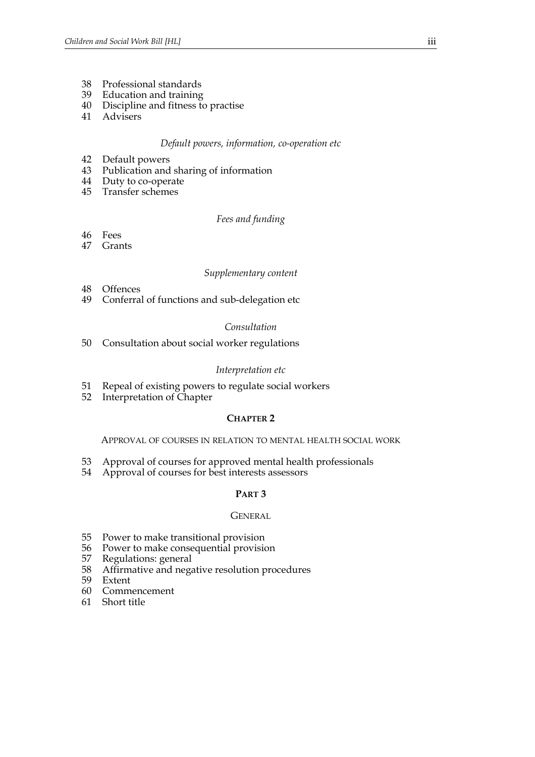- 38 Professional standards
- 39 Education and training
- 40 Discipline and fitness to practise
- 41 Advisers

#### *Default powers, information, co-operation etc*

- 42 Default powers
- 43 Publication and sharing of information
- 44 Duty to co-operate
- 45 Transfer schemes

## *Fees and funding*

- 46 Fees
- 47 Grants

# *Supplementary content*

- 48 Offences
- 49 Conferral of functions and sub-delegation etc

#### *Consultation*

50 Consultation about social worker regulations

## *Interpretation etc*

- 51 Repeal of existing powers to regulate social workers
- 52 Interpretation of Chapter

#### **CHAPTER 2**

APPROVAL OF COURSES IN RELATION TO MENTAL HEALTH SOCIAL WORK

- 53 Approval of courses for approved mental health professionals
- 54 Approval of courses for best interests assessors

# **PART 3**

#### **GENERAL**

- 55 Power to make transitional provision
- 56 Power to make consequential provision<br>57 Regulations: general
- 57 Regulations: general<br>58 Affirmative and nega
- 58 Affirmative and negative resolution procedures
- Extent
- 60 Commencement
- 61 Short title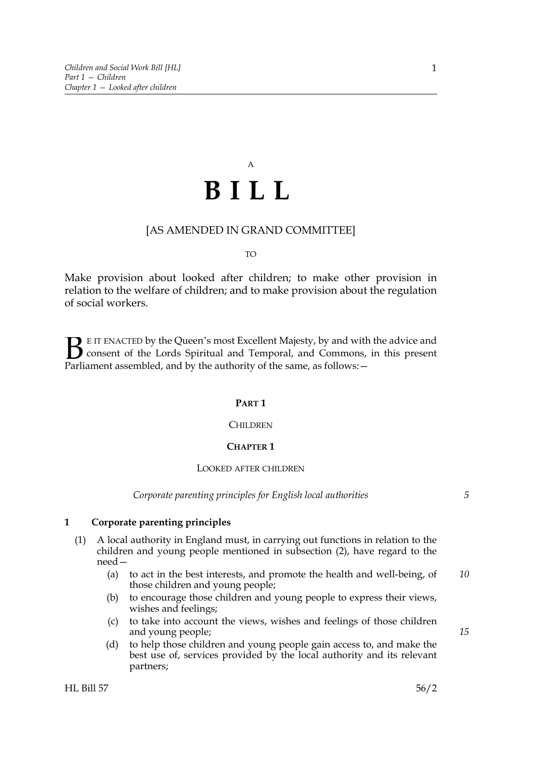# A **BILL**

# [AS AMENDED IN GRAND COMMITTEE]

#### TO

Make provision about looked after children; to make other provision in relation to the welfare of children; and to make provision about the regulation of social workers.

E IT ENACTED by the Queen's most Excellent Majesty, by and with the advice and consent of the Lords Spiritual and Temporal, and Commons, in this present **B** E IT ENACTED by the Queen's most Excellent Majesty, by and with consent of the Lords Spiritual and Temporal, and Commons, Parliament assembled, and by the authority of the same, as follows:  $-$ 

#### **PART 1**

#### CHILDREN

#### **CHAPTER 1**

#### LOOKED AFTER CHILDREN

*Corporate parenting principles for English local authorities*

*15*

#### **1 Corporate parenting principles**

- (1) A local authority in England must, in carrying out functions in relation to the children and young people mentioned in subsection (2), have regard to the need—
	- (a) to act in the best interests, and promote the health and well-being, of those children and young people; *10*
	- (b) to encourage those children and young people to express their views, wishes and feelings;
	- (c) to take into account the views, wishes and feelings of those children and young people;
	- (d) to help those children and young people gain access to, and make the best use of, services provided by the local authority and its relevant partners;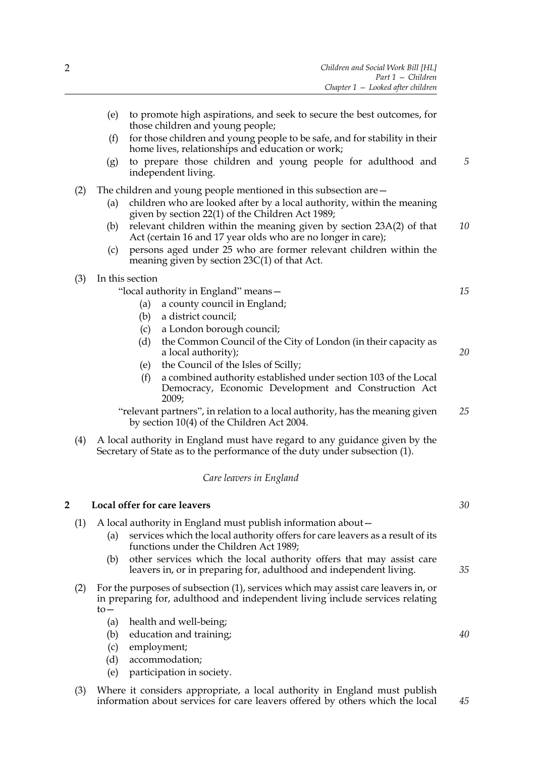|   |     | (e)                                                                | to promote high aspirations, and seek to secure the best outcomes, for                                                                                            |    |
|---|-----|--------------------------------------------------------------------|-------------------------------------------------------------------------------------------------------------------------------------------------------------------|----|
|   |     | (f)                                                                | those children and young people;<br>for those children and young people to be safe, and for stability in their                                                    |    |
|   |     |                                                                    | home lives, relationships and education or work;                                                                                                                  |    |
|   |     | (g)                                                                | to prepare those children and young people for adulthood and<br>independent living.                                                                               | 5  |
|   | (2) | The children and young people mentioned in this subsection are $-$ |                                                                                                                                                                   |    |
|   |     | (a)                                                                | children who are looked after by a local authority, within the meaning<br>given by section 22(1) of the Children Act 1989;                                        |    |
|   |     | (b)                                                                | relevant children within the meaning given by section 23A(2) of that<br>Act (certain 16 and 17 year olds who are no longer in care);                              | 10 |
|   |     | (c)                                                                | persons aged under 25 who are former relevant children within the<br>meaning given by section $23C(1)$ of that Act.                                               |    |
|   | (3) |                                                                    | In this section                                                                                                                                                   |    |
|   |     |                                                                    | "local authority in England" means -                                                                                                                              | 15 |
|   |     |                                                                    | a county council in England;<br>(a)<br>a district council;<br>(b)                                                                                                 |    |
|   |     |                                                                    | a London borough council;<br>(c)                                                                                                                                  |    |
|   |     |                                                                    | (d)<br>the Common Council of the City of London (in their capacity as                                                                                             |    |
|   |     |                                                                    | a local authority);                                                                                                                                               | 20 |
|   |     |                                                                    | the Council of the Isles of Scilly;<br>(e)<br>a combined authority established under section 103 of the Local<br>(f)                                              |    |
|   |     |                                                                    | Democracy, Economic Development and Construction Act<br>2009;                                                                                                     |    |
|   |     |                                                                    | "relevant partners", in relation to a local authority, has the meaning given<br>by section 10(4) of the Children Act 2004.                                        | 25 |
|   | (4) |                                                                    | A local authority in England must have regard to any guidance given by the<br>Secretary of State as to the performance of the duty under subsection (1).          |    |
|   |     |                                                                    | Care leavers in England                                                                                                                                           |    |
| 2 |     |                                                                    | Local offer for care leavers                                                                                                                                      | 30 |
|   | (1) |                                                                    | A local authority in England must publish information about-                                                                                                      |    |
|   |     | (a)                                                                | services which the local authority offers for care leavers as a result of its<br>functions under the Children Act 1989;                                           |    |
|   |     | (b)                                                                | other services which the local authority offers that may assist care<br>leavers in, or in preparing for, adulthood and independent living.                        | 35 |
|   | (2) | $to-$                                                              | For the purposes of subsection (1), services which may assist care leavers in, or<br>in preparing for, adulthood and independent living include services relating |    |
|   |     | (a)                                                                | health and well-being;                                                                                                                                            |    |
|   |     | (b)                                                                | education and training;                                                                                                                                           | 40 |
|   |     | (c)                                                                | employment;                                                                                                                                                       |    |
|   |     | (d)                                                                | accommodation;<br>participation in society.                                                                                                                       |    |
|   |     | (e)                                                                |                                                                                                                                                                   |    |
|   |     |                                                                    |                                                                                                                                                                   |    |

(3) Where it considers appropriate, a local authority in England must publish information about services for care leavers offered by others which the local *45*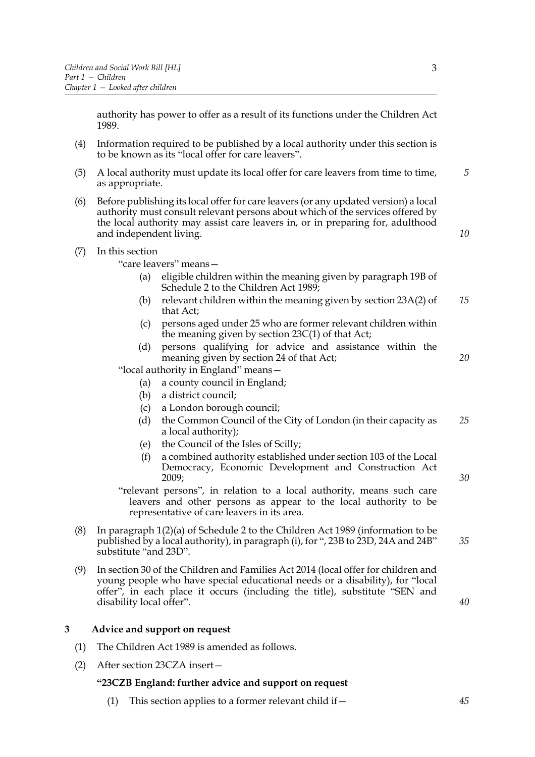authority has power to offer as a result of its functions under the Children Act 1989.

- (4) Information required to be published by a local authority under this section is to be known as its "local offer for care leavers".
- (5) A local authority must update its local offer for care leavers from time to time, as appropriate. *5*
- (6) Before publishing its local offer for care leavers (or any updated version) a local authority must consult relevant persons about which of the services offered by the local authority may assist care leavers in, or in preparing for, adulthood and independent living.
- (7) In this section

"care leavers" means—

- (a) eligible children within the meaning given by paragraph 19B of Schedule 2 to the Children Act 1989;
- (b) relevant children within the meaning given by section 23A(2) of that Act; *15*
- (c) persons aged under 25 who are former relevant children within the meaning given by section 23C(1) of that Act;
- (d) persons qualifying for advice and assistance within the meaning given by section 24 of that Act;

"local authority in England" means—

- (a) a county council in England;
- (b) a district council;
- (c) a London borough council;
- (d) the Common Council of the City of London (in their capacity as a local authority); *25*
- (e) the Council of the Isles of Scilly;
- (f) a combined authority established under section 103 of the Local Democracy, Economic Development and Construction Act 2009;

"relevant persons", in relation to a local authority, means such care leavers and other persons as appear to the local authority to be representative of care leavers in its area.

- (8) In paragraph 1(2)(a) of Schedule 2 to the Children Act 1989 (information to be published by a local authority), in paragraph (i), for ", 23B to 23D, 24A and 24B" substitute "and 23D".
- (9) In section 30 of the Children and Families Act 2014 (local offer for children and young people who have special educational needs or a disability), for "local offer", in each place it occurs (including the title), substitute "SEN and disability local offer".

# **3 Advice and support on request**

- (1) The Children Act 1989 is amended as follows.
- (2) After section 23CZA insert—

# **"23CZB England: further advice and support on request**

(1) This section applies to a former relevant child if  $-$ 

*30*

*40*

*10*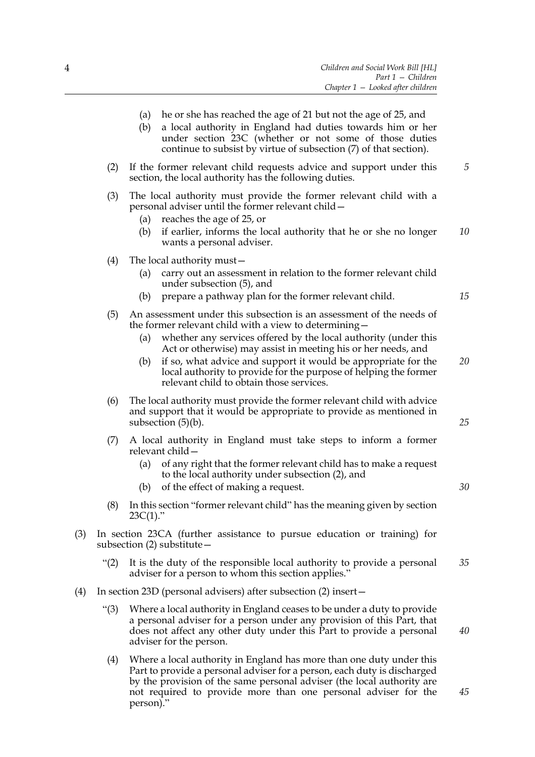(2) If the former relevant child requests advice and support under this section, the local authority has the following duties. *5*

continue to subsist by virtue of subsection (7) of that section).

- (3) The local authority must provide the former relevant child with a personal adviser until the former relevant child—
	- (a) reaches the age of 25, or
	- (b) if earlier, informs the local authority that he or she no longer wants a personal adviser. *10*
- (4) The local authority must—
	- (a) carry out an assessment in relation to the former relevant child under subsection (5), and
	- (b) prepare a pathway plan for the former relevant child.
- (5) An assessment under this subsection is an assessment of the needs of the former relevant child with a view to determining—
	- (a) whether any services offered by the local authority (under this Act or otherwise) may assist in meeting his or her needs, and
	- (b) if so, what advice and support it would be appropriate for the local authority to provide for the purpose of helping the former relevant child to obtain those services.
- (6) The local authority must provide the former relevant child with advice and support that it would be appropriate to provide as mentioned in subsection (5)(b).
- (7) A local authority in England must take steps to inform a former relevant child—
	- (a) of any right that the former relevant child has to make a request to the local authority under subsection (2), and
	- (b) of the effect of making a request.
- (8) In this section "former relevant child" has the meaning given by section  $23C(1)$ ."
- (3) In section 23CA (further assistance to pursue education or training) for subsection (2) substitute—
	- "(2) It is the duty of the responsible local authority to provide a personal adviser for a person to whom this section applies." *35*
- (4) In section 23D (personal advisers) after subsection (2) insert—
	- "(3) Where a local authority in England ceases to be under a duty to provide a personal adviser for a person under any provision of this Part, that does not affect any other duty under this Part to provide a personal adviser for the person. *40*
	- (4) Where a local authority in England has more than one duty under this Part to provide a personal adviser for a person, each duty is discharged by the provision of the same personal adviser (the local authority are not required to provide more than one personal adviser for the person)."

*25*

*15*

*20*

*30*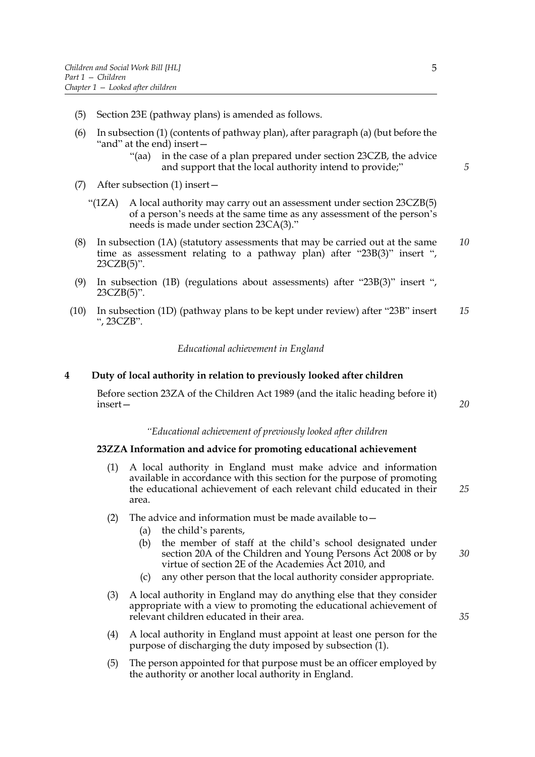- (5) Section 23E (pathway plans) is amended as follows.
- (6) In subsection (1) (contents of pathway plan), after paragraph (a) (but before the "and" at the end) insert—
	- "(aa) in the case of a plan prepared under section 23CZB, the advice and support that the local authority intend to provide;"
- (7) After subsection (1) insert—
	- "(1ZA) A local authority may carry out an assessment under section 23CZB(5) of a person's needs at the same time as any assessment of the person's needs is made under section 23CA(3)."
- (8) In subsection (1A) (statutory assessments that may be carried out at the same time as assessment relating to a pathway plan) after "23B(3)" insert ", 23CZB(5)". *10*
- (9) In subsection (1B) (regulations about assessments) after "23B(3)" insert ", 23CZB(5)".
- (10) In subsection (1D) (pathway plans to be kept under review) after "23B" insert ", 23CZB". *15*

*Educational achievement in England*

#### **4 Duty of local authority in relation to previously looked after children**

Before section 23ZA of the Children Act 1989 (and the italic heading before it) insert—

#### *"Educational achievement of previously looked after children*

#### **23ZZA Information and advice for promoting educational achievement**

- (1) A local authority in England must make advice and information available in accordance with this section for the purpose of promoting the educational achievement of each relevant child educated in their area. *25*
- (2) The advice and information must be made available to  $-$ 
	- (a) the child's parents,
	- (b) the member of staff at the child's school designated under section 20A of the Children and Young Persons Act 2008 or by virtue of section 2E of the Academies Act 2010, and *30*
	- (c) any other person that the local authority consider appropriate.
- (3) A local authority in England may do anything else that they consider appropriate with a view to promoting the educational achievement of relevant children educated in their area.
- (4) A local authority in England must appoint at least one person for the purpose of discharging the duty imposed by subsection (1).
- (5) The person appointed for that purpose must be an officer employed by the authority or another local authority in England.

*5*

*20*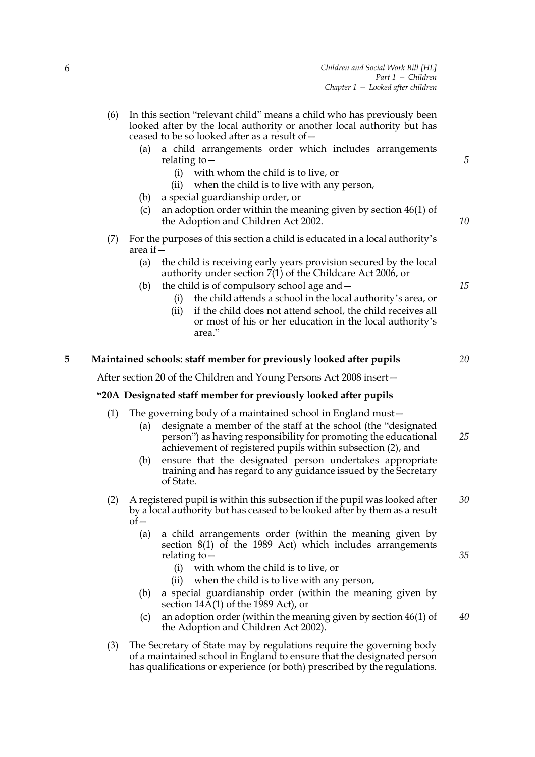|   | (6) | In this section "relevant child" means a child who has previously been                                                                                                                                                                                                |    |
|---|-----|-----------------------------------------------------------------------------------------------------------------------------------------------------------------------------------------------------------------------------------------------------------------------|----|
|   |     | looked after by the local authority or another local authority but has<br>ceased to be so looked after as a result of -                                                                                                                                               |    |
|   |     | a child arrangements order which includes arrangements<br>(a)<br>relating to $-$                                                                                                                                                                                      | 5  |
|   |     | with whom the child is to live, or<br>(i)                                                                                                                                                                                                                             |    |
|   |     | when the child is to live with any person,<br>(ii)<br>a special guardianship order, or                                                                                                                                                                                |    |
|   |     | (b)<br>an adoption order within the meaning given by section 46(1) of<br>(c)<br>the Adoption and Children Act 2002.                                                                                                                                                   | 10 |
|   | (7) | For the purposes of this section a child is educated in a local authority's<br>area if $-$                                                                                                                                                                            |    |
|   |     | (a)<br>the child is receiving early years provision secured by the local<br>authority under section 7(1) of the Childcare Act 2006, or                                                                                                                                |    |
|   |     | the child is of compulsory school age and -<br>(b)                                                                                                                                                                                                                    | 15 |
|   |     | the child attends a school in the local authority's area, or<br>(i)<br>if the child does not attend school, the child receives all<br>(i)                                                                                                                             |    |
|   |     | or most of his or her education in the local authority's<br>area."                                                                                                                                                                                                    |    |
| 5 |     | Maintained schools: staff member for previously looked after pupils                                                                                                                                                                                                   | 20 |
|   |     | After section 20 of the Children and Young Persons Act 2008 insert-                                                                                                                                                                                                   |    |
|   |     | "20A Designated staff member for previously looked after pupils                                                                                                                                                                                                       |    |
|   |     |                                                                                                                                                                                                                                                                       |    |
|   | (1) | The governing body of a maintained school in England must-<br>designate a member of the staff at the school (the "designated<br>(a)<br>person") as having responsibility for promoting the educational<br>achievement of registered pupils within subsection (2), and | 25 |
|   |     | ensure that the designated person undertakes appropriate<br>(b)<br>training and has regard to any guidance issued by the Secretary<br>of State.                                                                                                                       |    |
|   | (2) | A registered pupil is within this subsection if the pupil was looked after<br>by a local authority but has ceased to be looked after by them as a result<br>$of-$                                                                                                     | 30 |
|   |     | a child arrangements order (within the meaning given by<br>(a)<br>section 8(1) of the 1989 Act) which includes arrangements<br>relating to $-$                                                                                                                        | 35 |
|   |     | with whom the child is to live, or<br>(i)<br>when the child is to live with any person,<br>(ii)                                                                                                                                                                       |    |
|   |     | a special guardianship order (within the meaning given by<br>(b)                                                                                                                                                                                                      |    |
|   |     | section $14A(1)$ of the 1989 Act), or<br>an adoption order (within the meaning given by section 46(1) of<br>(c)                                                                                                                                                       | 40 |
|   |     | the Adoption and Children Act 2002).                                                                                                                                                                                                                                  |    |
|   | (3) | The Secretary of State may by regulations require the governing body<br>of a maintained school in England to ensure that the designated person<br>has qualifications or experience (or both) prescribed by the regulations.                                           |    |
|   |     |                                                                                                                                                                                                                                                                       |    |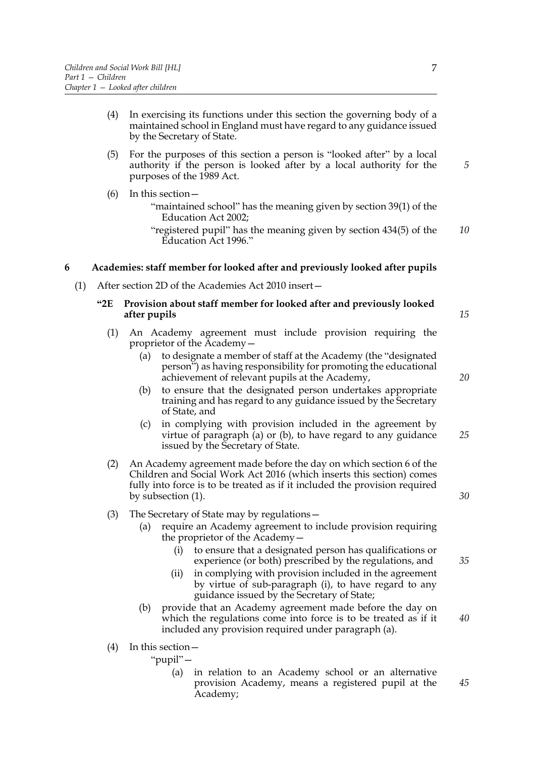- (4) In exercising its functions under this section the governing body of a maintained school in England must have regard to any guidance issued by the Secretary of State.
- (5) For the purposes of this section a person is "looked after" by a local authority if the person is looked after by a local authority for the purposes of the 1989 Act.
- (6) In this section—
	- "maintained school" has the meaning given by section 39(1) of the Education Act 2002;
	- "registered pupil" has the meaning given by section 434(5) of the Education Act 1996." *10*

# **6 Academies: staff member for looked after and previously looked after pupils**

(1) After section 2D of the Academies Act 2010 insert—

## **"2E Provision about staff member for looked after and previously looked after pupils**

- (1) An Academy agreement must include provision requiring the proprietor of the Academy—
	- (a) to designate a member of staff at the Academy (the "designated person") as having responsibility for promoting the educational achievement of relevant pupils at the Academy,
	- (b) to ensure that the designated person undertakes appropriate training and has regard to any guidance issued by the Secretary of State, and
	- (c) in complying with provision included in the agreement by virtue of paragraph (a) or (b), to have regard to any guidance issued by the Secretary of State. *25*
- (2) An Academy agreement made before the day on which section 6 of the Children and Social Work Act 2016 (which inserts this section) comes fully into force is to be treated as if it included the provision required by subsection (1).
- (3) The Secretary of State may by regulations
	- require an Academy agreement to include provision requiring the proprietor of the Academy—
		- (i) to ensure that a designated person has qualifications or experience (or both) prescribed by the regulations, and
		- (ii) in complying with provision included in the agreement by virtue of sub-paragraph (i), to have regard to any guidance issued by the Secretary of State;
	- (b) provide that an Academy agreement made before the day on which the regulations come into force is to be treated as if it included any provision required under paragraph (a). *40*
- (4) In this section—
	- "pupil"—
		- (a) in relation to an Academy school or an alternative provision Academy, means a registered pupil at the Academy; *45*

*20*

*15*

*5*

*30*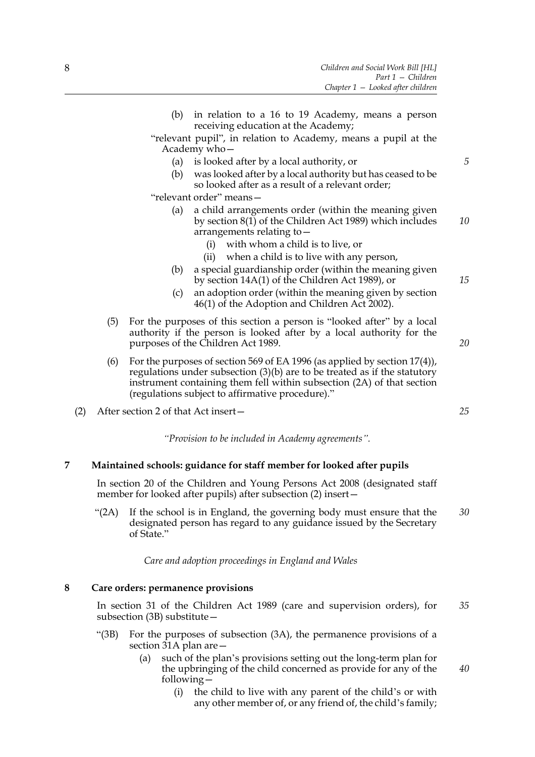- (b) in relation to a 16 to 19 Academy, means a person receiving education at the Academy; "relevant pupil", in relation to Academy, means a pupil at the Academy who— (a) is looked after by a local authority, or (b) was looked after by a local authority but has ceased to be so looked after as a result of a relevant order; "relevant order" means— (a) a child arrangements order (within the meaning given by section 8(1) of the Children Act 1989) which includes arrangements relating to— (i) with whom a child is to live, or (ii) when a child is to live with any person, (b) a special guardianship order (within the meaning given by section 14A(1) of the Children Act 1989), or
	- (c) an adoption order (within the meaning given by section 46(1) of the Adoption and Children Act 2002).
- (5) For the purposes of this section a person is "looked after" by a local authority if the person is looked after by a local authority for the purposes of the Children Act 1989.
- (6) For the purposes of section 569 of EA 1996 (as applied by section 17(4)), regulations under subsection (3)(b) are to be treated as if the statutory instrument containing them fell within subsection (2A) of that section (regulations subject to affirmative procedure)."
- (2) After section 2 of that Act insert—

*"Provision to be included in Academy agreements".*

# **7 Maintained schools: guidance for staff member for looked after pupils**

In section 20 of the Children and Young Persons Act 2008 (designated staff member for looked after pupils) after subsection (2) insert—

"(2A) If the school is in England, the governing body must ensure that the designated person has regard to any guidance issued by the Secretary of State." *30*

*Care and adoption proceedings in England and Wales*

### **8 Care orders: permanence provisions**

In section 31 of the Children Act 1989 (care and supervision orders), for subsection (3B) substitute— *35*

- "(3B) For the purposes of subsection (3A), the permanence provisions of a section 31A plan are—
	- (a) such of the plan's provisions setting out the long-term plan for the upbringing of the child concerned as provide for any of the following— *40*
		- (i) the child to live with any parent of the child's or with any other member of, or any friend of, the child's family;

*20*

*5*

*10*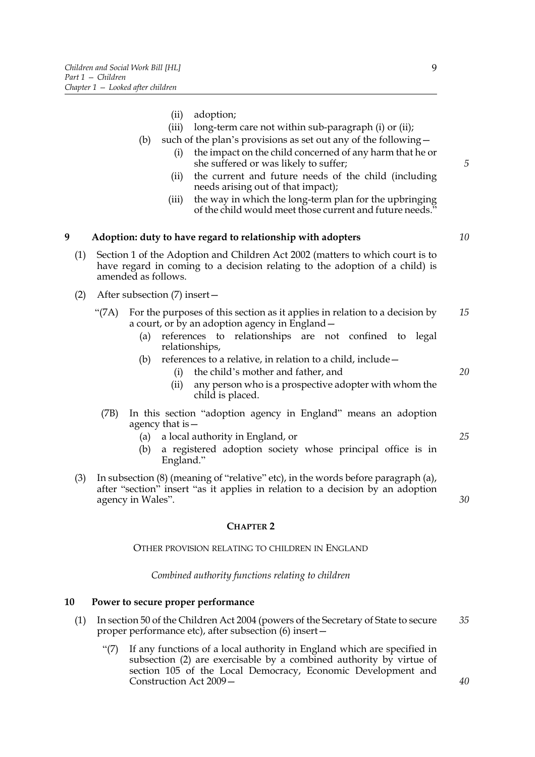- (ii) adoption; (iii) long-term care not within sub-paragraph (i) or (ii); (b) such of the plan's provisions as set out any of the following— (i) the impact on the child concerned of any harm that he or she suffered or was likely to suffer; (ii) the current and future needs of the child (including needs arising out of that impact); (iii) the way in which the long-term plan for the upbringing of the child would meet those current and future needs." **9 Adoption: duty to have regard to relationship with adopters** (1) Section 1 of the Adoption and Children Act 2002 (matters to which court is to have regard in coming to a decision relating to the adoption of a child) is amended as follows. (2) After subsection (7) insert— "(7A) For the purposes of this section as it applies in relation to a decision by a court, or by an adoption agency in England— (a) references to relationships are not confined to legal relationships, (b) references to a relative, in relation to a child, include— (i) the child's mother and father, and (ii) any person who is a prospective adopter with whom the child is placed. (7B) In this section "adoption agency in England" means an adoption agency that is— (a) a local authority in England, or (b) a registered adoption society whose principal office is in England." (3) In subsection (8) (meaning of "relative" etc), in the words before paragraph (a), after "section" insert "as it applies in relation to a decision by an adoption *5 10 15 20 25*
	- *30*

# **CHAPTER 2**

# OTHER PROVISION RELATING TO CHILDREN IN ENGLAND

# *Combined authority functions relating to children*

# **10 Power to secure proper performance**

agency in Wales".

- (1) In section 50 of the Children Act 2004 (powers of the Secretary of State to secure proper performance etc), after subsection (6) insert— *35*
	- "(7) If any functions of a local authority in England which are specified in subsection (2) are exercisable by a combined authority by virtue of section 105 of the Local Democracy, Economic Development and Construction Act 2009—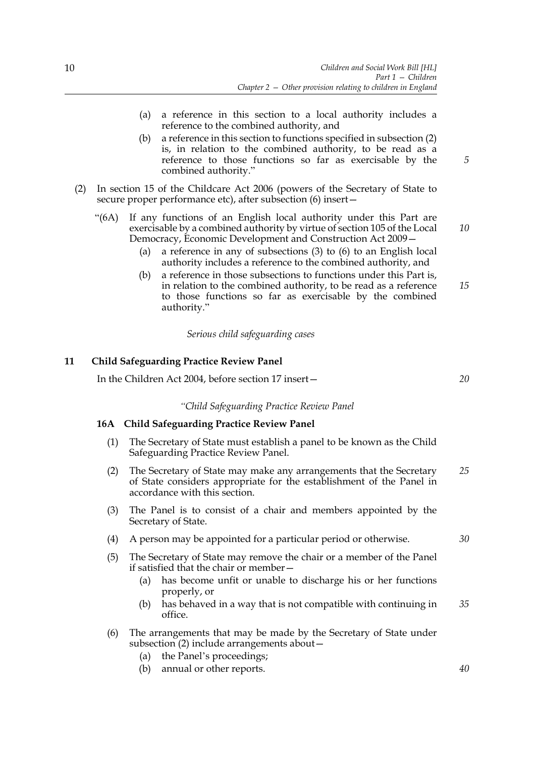- (a) a reference in this section to a local authority includes a reference to the combined authority, and
- (b) a reference in this section to functions specified in subsection (2) is, in relation to the combined authority, to be read as a reference to those functions so far as exercisable by the combined authority."
- (2) In section 15 of the Childcare Act 2006 (powers of the Secretary of State to secure proper performance etc), after subsection (6) insert—
	- "(6A) If any functions of an English local authority under this Part are exercisable by a combined authority by virtue of section 105 of the Local Democracy, Economic Development and Construction Act 2009— *10*
		- (a) a reference in any of subsections (3) to (6) to an English local authority includes a reference to the combined authority, and
		- (b) a reference in those subsections to functions under this Part is, in relation to the combined authority, to be read as a reference to those functions so far as exercisable by the combined authority."

*Serious child safeguarding cases*

# **11 Child Safeguarding Practice Review Panel**

In the Children Act 2004, before section 17 insert—

*"Child Safeguarding Practice Review Panel*

## **16A Child Safeguarding Practice Review Panel**

- (1) The Secretary of State must establish a panel to be known as the Child Safeguarding Practice Review Panel.
- (2) The Secretary of State may make any arrangements that the Secretary of State considers appropriate for the establishment of the Panel in accordance with this section. *25*
- (3) The Panel is to consist of a chair and members appointed by the Secretary of State.
- (4) A person may be appointed for a particular period or otherwise.
- (5) The Secretary of State may remove the chair or a member of the Panel if satisfied that the chair or member—
	- (a) has become unfit or unable to discharge his or her functions properly, or
	- (b) has behaved in a way that is not compatible with continuing in office. *35*
- (6) The arrangements that may be made by the Secretary of State under subsection (2) include arrangements about—
	- (a) the Panel's proceedings;
	- (b) annual or other reports.

*5*

*15*

*20*

*30*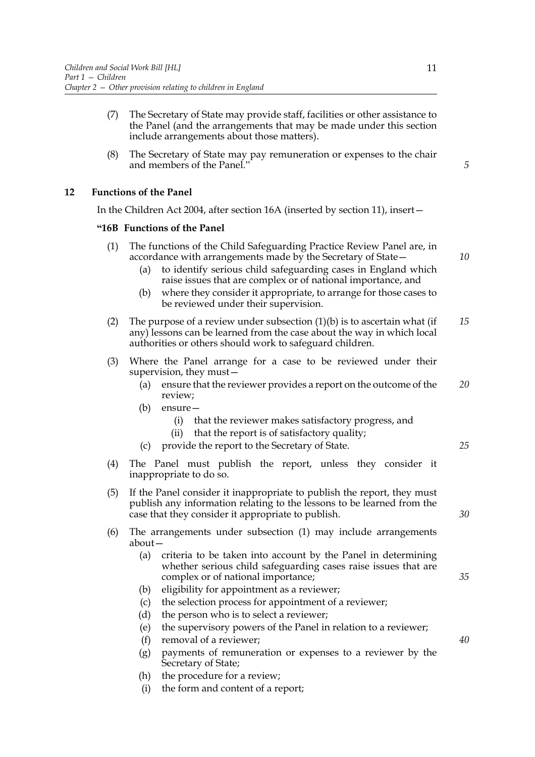- (7) The Secretary of State may provide staff, facilities or other assistance to the Panel (and the arrangements that may be made under this section include arrangements about those matters).
- (8) The Secretary of State may pay remuneration or expenses to the chair and members of the Panel."

# **12 Functions of the Panel**

In the Children Act 2004, after section 16A (inserted by section 11), insert—

## **"16B Functions of the Panel**

- (1) The functions of the Child Safeguarding Practice Review Panel are, in accordance with arrangements made by the Secretary of State—
	- (a) to identify serious child safeguarding cases in England which raise issues that are complex or of national importance, and
	- (b) where they consider it appropriate, to arrange for those cases to be reviewed under their supervision.
- (2) The purpose of a review under subsection  $(1)(b)$  is to ascertain what (if any) lessons can be learned from the case about the way in which local authorities or others should work to safeguard children. *15*
- (3) Where the Panel arrange for a case to be reviewed under their supervision, they must—
	- (a) ensure that the reviewer provides a report on the outcome of the review; *20*
	- (b) ensure—
		- (i) that the reviewer makes satisfactory progress, and
		- (ii) that the report is of satisfactory quality;
	- (c) provide the report to the Secretary of State.
- (4) The Panel must publish the report, unless they consider it inappropriate to do so.
- (5) If the Panel consider it inappropriate to publish the report, they must publish any information relating to the lessons to be learned from the case that they consider it appropriate to publish.
- (6) The arrangements under subsection (1) may include arrangements about—
	- (a) criteria to be taken into account by the Panel in determining whether serious child safeguarding cases raise issues that are complex or of national importance;
	- (b) eligibility for appointment as a reviewer;
	- (c) the selection process for appointment of a reviewer;
	- (d) the person who is to select a reviewer;
	- (e) the supervisory powers of the Panel in relation to a reviewer;
	- (f) removal of a reviewer;
	- (g) payments of remuneration or expenses to a reviewer by the Secretary of State;
	- (h) the procedure for a review;
	- (i) the form and content of a report;

*5*

*10*

*25*

*30*

*35*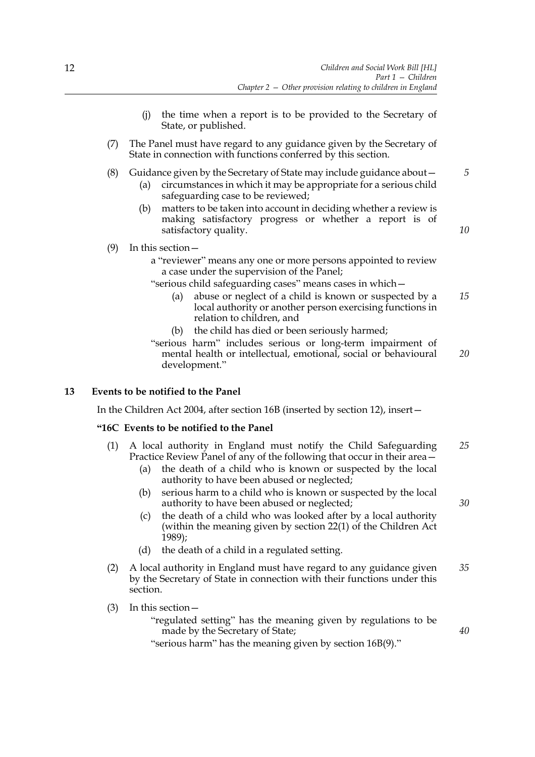- (j) the time when a report is to be provided to the Secretary of State, or published.
- (7) The Panel must have regard to any guidance given by the Secretary of State in connection with functions conferred by this section.
- (8) Guidance given by the Secretary of State may include guidance about— (a) circumstances in which it may be appropriate for a serious child *5*
	- safeguarding case to be reviewed;
	- (b) matters to be taken into account in deciding whether a review is making satisfactory progress or whether a report is of satisfactory quality.

*10*

- (9) In this section
	- a "reviewer" means any one or more persons appointed to review a case under the supervision of the Panel;
	- "serious child safeguarding cases" means cases in which—
		- (a) abuse or neglect of a child is known or suspected by a local authority or another person exercising functions in relation to children, and *15*
		- (b) the child has died or been seriously harmed;
	- "serious harm" includes serious or long-term impairment of mental health or intellectual, emotional, social or behavioural development." *20*

# **13 Events to be notified to the Panel**

In the Children Act 2004, after section 16B (inserted by section 12), insert—

# **"16C Events to be notified to the Panel**

- (1) A local authority in England must notify the Child Safeguarding Practice Review Panel of any of the following that occur in their area— *25*
	- (a) the death of a child who is known or suspected by the local authority to have been abused or neglected;
	- (b) serious harm to a child who is known or suspected by the local authority to have been abused or neglected;
	- (c) the death of a child who was looked after by a local authority (within the meaning given by section 22(1) of the Children Act 1989);
	- (d) the death of a child in a regulated setting.
- (2) A local authority in England must have regard to any guidance given by the Secretary of State in connection with their functions under this section. *35*
- (3) In this section—

"regulated setting" has the meaning given by regulations to be made by the Secretary of State;

"serious harm" has the meaning given by section 16B(9)."

*30*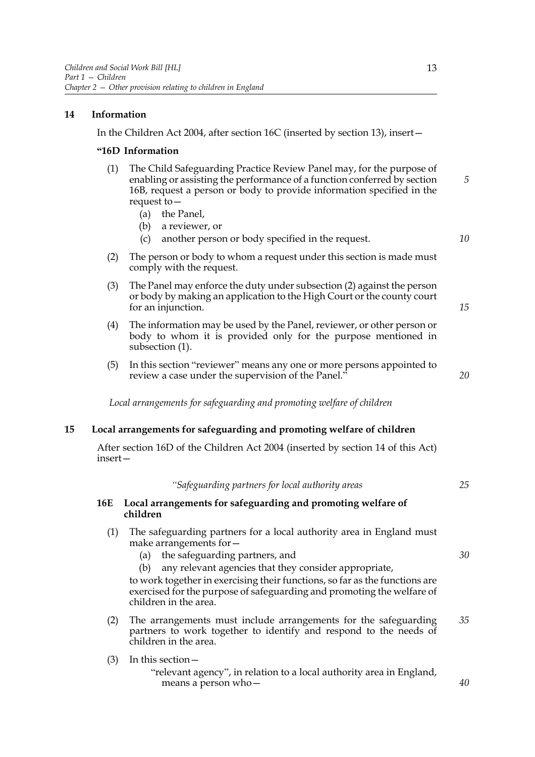# **14 Information**

In the Children Act 2004, after section 16C (inserted by section 13), insert—

### **"16D Information**

- (1) The Child Safeguarding Practice Review Panel may, for the purpose of enabling or assisting the performance of a function conferred by section 16B, request a person or body to provide information specified in the request to— *5*
	- (a) the Panel,
	- (b) a reviewer, or
	- (c) another person or body specified in the request.
- *10*

*15*

*20*

- (2) The person or body to whom a request under this section is made must comply with the request.
- (3) The Panel may enforce the duty under subsection (2) against the person or body by making an application to the High Court or the county court for an injunction.
- (4) The information may be used by the Panel, reviewer, or other person or body to whom it is provided only for the purpose mentioned in subsection (1).
- (5) In this section "reviewer" means any one or more persons appointed to review a case under the supervision of the Panel."

*Local arrangements for safeguarding and promoting welfare of children*

## **15 Local arrangements for safeguarding and promoting welfare of children**

After section 16D of the Children Act 2004 (inserted by section 14 of this Act) insert—

|     | "Safeguarding partners for local authority areas                                                                                                                                                                                                                                                                                                                                           | 25 |
|-----|--------------------------------------------------------------------------------------------------------------------------------------------------------------------------------------------------------------------------------------------------------------------------------------------------------------------------------------------------------------------------------------------|----|
| 16E | Local arrangements for safeguarding and promoting welfare of<br>children                                                                                                                                                                                                                                                                                                                   |    |
| (1) | The safeguarding partners for a local authority area in England must<br>make arrangements for -<br>the safeguarding partners, and<br>(a)<br>any relevant agencies that they consider appropriate,<br>(b)<br>to work together in exercising their functions, so far as the functions are<br>exercised for the purpose of safeguarding and promoting the welfare of<br>children in the area. | 30 |
| (2) | The arrangements must include arrangements for the safeguarding<br>partners to work together to identify and respond to the needs of<br>children in the area.                                                                                                                                                                                                                              | 35 |
| (3) | In this section $-$<br>"relevant agency", in relation to a local authority area in England,<br>means a person who-                                                                                                                                                                                                                                                                         | 40 |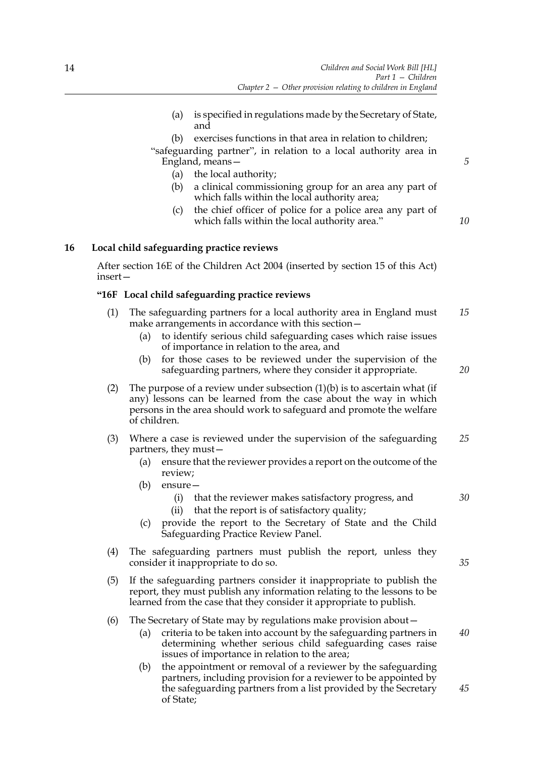- (a) is specified in regulations made by the Secretary of State, and
- (b) exercises functions in that area in relation to children;

"safeguarding partner", in relation to a local authority area in England, means—

- (a) the local authority;
- (b) a clinical commissioning group for an area any part of which falls within the local authority area;
- (c) the chief officer of police for a police area any part of which falls within the local authority area."

*10*

*5*

# **16 Local child safeguarding practice reviews**

After section 16E of the Children Act 2004 (inserted by section 15 of this Act) insert—

## **"16F Local child safeguarding practice reviews**

- (1) The safeguarding partners for a local authority area in England must make arrangements in accordance with this section— *15*
	- (a) to identify serious child safeguarding cases which raise issues of importance in relation to the area, and
	- (b) for those cases to be reviewed under the supervision of the safeguarding partners, where they consider it appropriate.

*20*

- (2) The purpose of a review under subsection  $(1)(b)$  is to ascertain what (if any) lessons can be learned from the case about the way in which persons in the area should work to safeguard and promote the welfare of children.
- (3) Where a case is reviewed under the supervision of the safeguarding partners, they must— *25*
	- (a) ensure that the reviewer provides a report on the outcome of the review;
	- (b) ensure—
		- (i) that the reviewer makes satisfactory progress, and
		- (ii) that the report is of satisfactory quality;
	- (c) provide the report to the Secretary of State and the Child Safeguarding Practice Review Panel.
- (4) The safeguarding partners must publish the report, unless they consider it inappropriate to do so.
- (5) If the safeguarding partners consider it inappropriate to publish the report, they must publish any information relating to the lessons to be learned from the case that they consider it appropriate to publish.

#### (6) The Secretary of State may by regulations make provision about—

- (a) criteria to be taken into account by the safeguarding partners in determining whether serious child safeguarding cases raise issues of importance in relation to the area;
- (b) the appointment or removal of a reviewer by the safeguarding partners, including provision for a reviewer to be appointed by the safeguarding partners from a list provided by the Secretary of State; *45*

14

*35*

*40*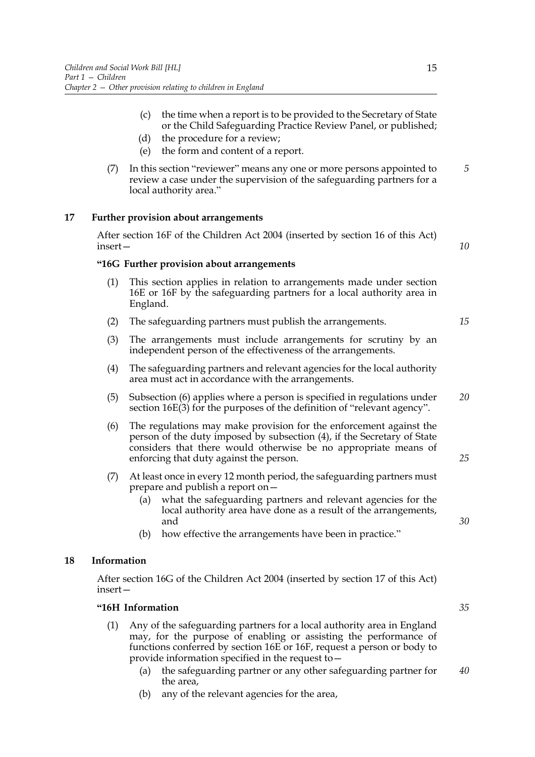- (c) the time when a report is to be provided to the Secretary of State or the Child Safeguarding Practice Review Panel, or published;
- (d) the procedure for a review;
- (e) the form and content of a report.
- (7) In this section "reviewer" means any one or more persons appointed to review a case under the supervision of the safeguarding partners for a local authority area." *5*

## **17 Further provision about arrangements**

After section 16F of the Children Act 2004 (inserted by section 16 of this Act) insert—

*10*

*15*

*25*

*30*

#### **"16G Further provision about arrangements**

- (1) This section applies in relation to arrangements made under section 16E or 16F by the safeguarding partners for a local authority area in England.
- (2) The safeguarding partners must publish the arrangements.
- (3) The arrangements must include arrangements for scrutiny by an independent person of the effectiveness of the arrangements.
- (4) The safeguarding partners and relevant agencies for the local authority area must act in accordance with the arrangements.
- (5) Subsection (6) applies where a person is specified in regulations under section 16E(3) for the purposes of the definition of "relevant agency". *20*
- (6) The regulations may make provision for the enforcement against the person of the duty imposed by subsection (4), if the Secretary of State considers that there would otherwise be no appropriate means of enforcing that duty against the person.
- (7) At least once in every 12 month period, the safeguarding partners must prepare and publish a report on—
	- (a) what the safeguarding partners and relevant agencies for the local authority area have done as a result of the arrangements, and
	- (b) how effective the arrangements have been in practice."

#### **18 Information**

After section 16G of the Children Act 2004 (inserted by section 17 of this Act) insert—

#### **"16H Information**

- (1) Any of the safeguarding partners for a local authority area in England may, for the purpose of enabling or assisting the performance of functions conferred by section 16E or 16F, request a person or body to provide information specified in the request to—
	- (a) the safeguarding partner or any other safeguarding partner for the area, *40*
	- (b) any of the relevant agencies for the area,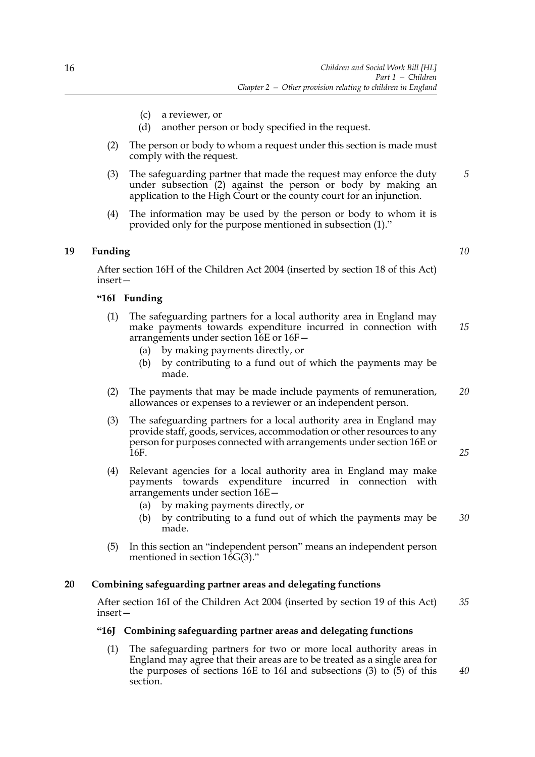- (c) a reviewer, or
- (d) another person or body specified in the request.
- (2) The person or body to whom a request under this section is made must comply with the request.
- (3) The safeguarding partner that made the request may enforce the duty under subsection (2) against the person or body by making an application to the High Court or the county court for an injunction.
- (4) The information may be used by the person or body to whom it is provided only for the purpose mentioned in subsection (1)."

# **19 Funding**

After section 16H of the Children Act 2004 (inserted by section 18 of this Act) insert—

# **"16I Funding**

- (1) The safeguarding partners for a local authority area in England may make payments towards expenditure incurred in connection with arrangements under section 16E or 16F— *15*
	- (a) by making payments directly, or
	- (b) by contributing to a fund out of which the payments may be made.
- (2) The payments that may be made include payments of remuneration, allowances or expenses to a reviewer or an independent person. *20*
- (3) The safeguarding partners for a local authority area in England may provide staff, goods, services, accommodation or other resources to any person for purposes connected with arrangements under section 16E or 16F.
- (4) Relevant agencies for a local authority area in England may make payments towards expenditure incurred in connection with arrangements under section 16E—
	- (a) by making payments directly, or
	- (b) by contributing to a fund out of which the payments may be made. *30*
- (5) In this section an "independent person" means an independent person mentioned in section  $16G(3)$ ."

#### **20 Combining safeguarding partner areas and delegating functions**

After section 16I of the Children Act 2004 (inserted by section 19 of this Act) insert— *35*

## **"16J Combining safeguarding partner areas and delegating functions**

(1) The safeguarding partners for two or more local authority areas in England may agree that their areas are to be treated as a single area for the purposes of sections 16E to 16I and subsections (3) to (5) of this section.

*10*

*5*

*25*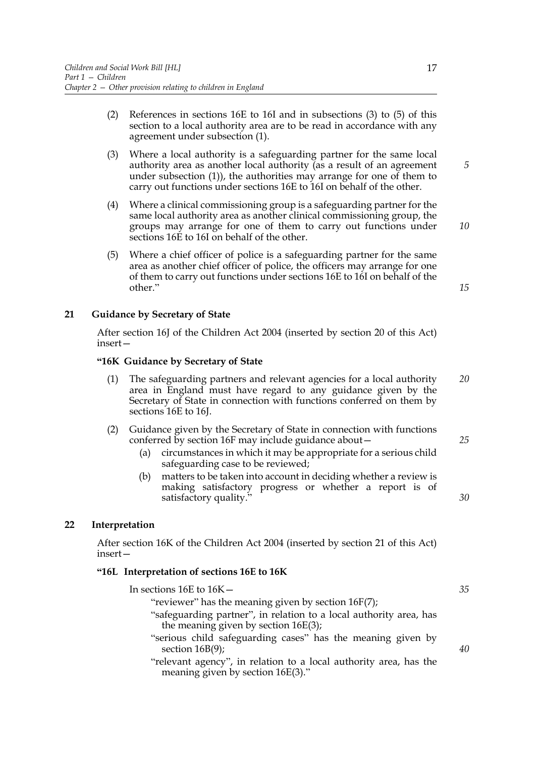- (2) References in sections 16E to 16I and in subsections (3) to (5) of this section to a local authority area are to be read in accordance with any agreement under subsection (1).
- (3) Where a local authority is a safeguarding partner for the same local authority area as another local authority (as a result of an agreement under subsection (1)), the authorities may arrange for one of them to carry out functions under sections 16E to 16I on behalf of the other.
- (4) Where a clinical commissioning group is a safeguarding partner for the same local authority area as another clinical commissioning group, the groups may arrange for one of them to carry out functions under sections 16E to 16I on behalf of the other.
- (5) Where a chief officer of police is a safeguarding partner for the same area as another chief officer of police, the officers may arrange for one of them to carry out functions under sections 16E to 16I on behalf of the other."

*15*

*25*

*30*

*10*

*5*

# **21 Guidance by Secretary of State**

After section 16J of the Children Act 2004 (inserted by section 20 of this Act) insert—

## **"16K Guidance by Secretary of State**

- (1) The safeguarding partners and relevant agencies for a local authority area in England must have regard to any guidance given by the Secretary of State in connection with functions conferred on them by sections 16E to 16J. *20*
- (2) Guidance given by the Secretary of State in connection with functions conferred by section 16F may include guidance about—
	- (a) circumstances in which it may be appropriate for a serious child safeguarding case to be reviewed;
	- (b) matters to be taken into account in deciding whether a review is making satisfactory progress or whether a report is of satisfactory quality."

#### **22 Interpretation**

After section 16K of the Children Act 2004 (inserted by section 21 of this Act) insert—

#### **"16L Interpretation of sections 16E to 16K**

In sections 16E to 16K— "reviewer" has the meaning given by section 16F(7); "safeguarding partner", in relation to a local authority area, has the meaning given by section 16E(3); "serious child safeguarding cases" has the meaning given by section 16B(9); "relevant agency", in relation to a local authority area, has the meaning given by section 16E(3)." *35 40*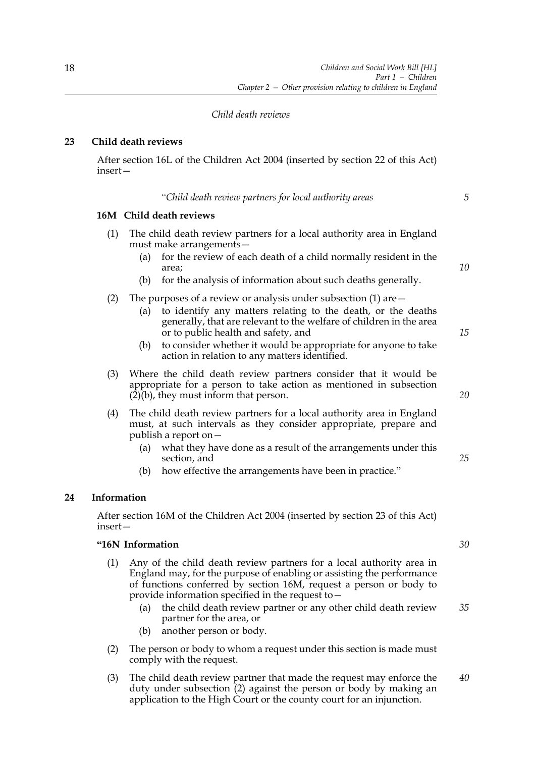## *Child death reviews*

# **23 Child death reviews**

After section 16L of the Children Act 2004 (inserted by section 22 of this Act) insert—

*"Child death review partners for local authority areas*

#### **16M Child death reviews**

- (1) The child death review partners for a local authority area in England must make arrangements—
	- (a) for the review of each death of a child normally resident in the area;
	- (b) for the analysis of information about such deaths generally.
- (2) The purposes of a review or analysis under subsection  $(1)$  are  $-$ 
	- (a) to identify any matters relating to the death, or the deaths generally, that are relevant to the welfare of children in the area or to public health and safety, and
	- (b) to consider whether it would be appropriate for anyone to take action in relation to any matters identified.
- (3) Where the child death review partners consider that it would be appropriate for a person to take action as mentioned in subsection  $(2)(b)$ , they must inform that person.
- (4) The child death review partners for a local authority area in England must, at such intervals as they consider appropriate, prepare and publish a report on—
	- (a) what they have done as a result of the arrangements under this section, and
	- (b) how effective the arrangements have been in practice."

# **24 Information**

After section 16M of the Children Act 2004 (inserted by section 23 of this Act) insert—

#### **"16N Information**

- (1) Any of the child death review partners for a local authority area in England may, for the purpose of enabling or assisting the performance of functions conferred by section 16M, request a person or body to provide information specified in the request to—
	- (a) the child death review partner or any other child death review partner for the area, or *35*
	- (b) another person or body.
- (2) The person or body to whom a request under this section is made must comply with the request.
- (3) The child death review partner that made the request may enforce the duty under subsection (2) against the person or body by making an application to the High Court or the county court for an injunction. *40*

*30*

*10*

*5*

*20*

*25*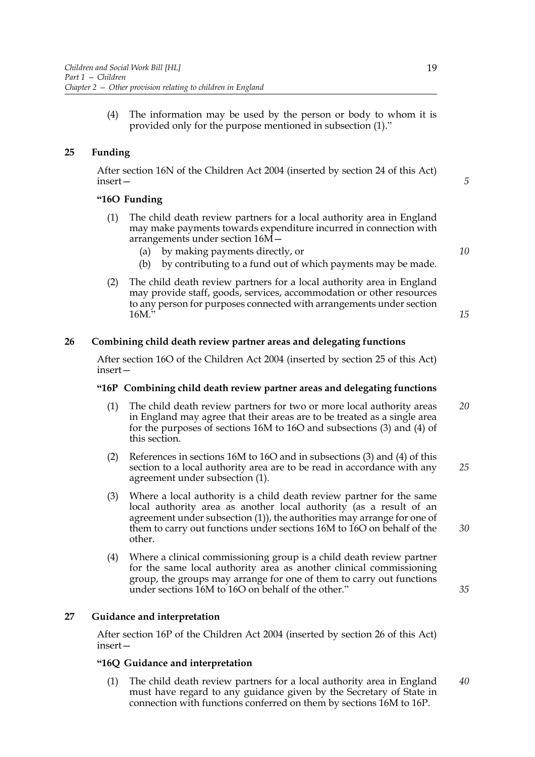(4) The information may be used by the person or body to whom it is provided only for the purpose mentioned in subsection (1)."

# **25 Funding**

After section 16N of the Children Act 2004 (inserted by section 24 of this Act) insert—

# **"16O Funding**

- (1) The child death review partners for a local authority area in England may make payments towards expenditure incurred in connection with arrangements under section 16M—
	- (a) by making payments directly, or
	- (b) by contributing to a fund out of which payments may be made.
- (2) The child death review partners for a local authority area in England may provide staff, goods, services, accommodation or other resources to any person for purposes connected with arrangements under section  $16M$ .

## **26 Combining child death review partner areas and delegating functions**

After section 16O of the Children Act 2004 (inserted by section 25 of this Act) insert—

#### **"16P Combining child death review partner areas and delegating functions**

- (1) The child death review partners for two or more local authority areas in England may agree that their areas are to be treated as a single area for the purposes of sections 16M to 16O and subsections (3) and (4) of this section. *20*
- (2) References in sections 16M to 16O and in subsections (3) and (4) of this section to a local authority area are to be read in accordance with any agreement under subsection (1). *25*
- (3) Where a local authority is a child death review partner for the same local authority area as another local authority (as a result of an agreement under subsection (1)), the authorities may arrange for one of them to carry out functions under sections 16M to 16O on behalf of the other.
- (4) Where a clinical commissioning group is a child death review partner for the same local authority area as another clinical commissioning group, the groups may arrange for one of them to carry out functions under sections 16M to 16O on behalf of the other."

#### **27 Guidance and interpretation**

After section 16P of the Children Act 2004 (inserted by section 26 of this Act) insert—

#### **"16Q Guidance and interpretation**

(1) The child death review partners for a local authority area in England must have regard to any guidance given by the Secretary of State in connection with functions conferred on them by sections 16M to 16P. *40*

*10*

*5*

*15*

*30*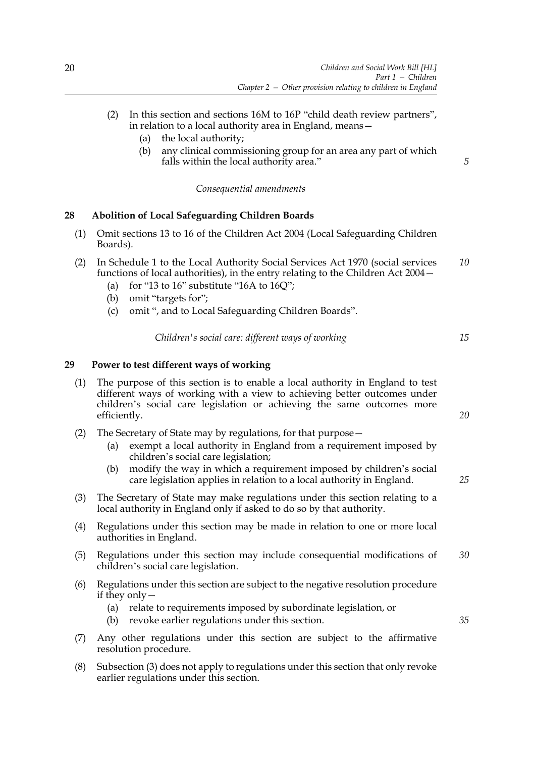- (2) In this section and sections 16M to 16P "child death review partners", in relation to a local authority area in England, means—
	- (a) the local authority;
	- (b) any clinical commissioning group for an area any part of which falls within the local authority area."

*Consequential amendments*

# **28 Abolition of Local Safeguarding Children Boards**

- (1) Omit sections 13 to 16 of the Children Act 2004 (Local Safeguarding Children Boards).
- (2) In Schedule 1 to the Local Authority Social Services Act 1970 (social services functions of local authorities), in the entry relating to the Children Act 2004— *10*
	- (a) for "13 to  $16$ " substitute "16A to  $16Q$ ";
	- (b) omit "targets for";
	- (c) omit ", and to Local Safeguarding Children Boards".

| Children's social care: different ways of working |  |  |
|---------------------------------------------------|--|--|
|---------------------------------------------------|--|--|

# **29 Power to test different ways of working**

- (1) The purpose of this section is to enable a local authority in England to test different ways of working with a view to achieving better outcomes under children's social care legislation or achieving the same outcomes more efficiently.
- (2) The Secretary of State may by regulations, for that purpose—
	- (a) exempt a local authority in England from a requirement imposed by children's social care legislation;
	- (b) modify the way in which a requirement imposed by children's social care legislation applies in relation to a local authority in England.
- (3) The Secretary of State may make regulations under this section relating to a local authority in England only if asked to do so by that authority.
- (4) Regulations under this section may be made in relation to one or more local authorities in England.
- (5) Regulations under this section may include consequential modifications of children's social care legislation. *30*
- (6) Regulations under this section are subject to the negative resolution procedure if they only—
	- (a) relate to requirements imposed by subordinate legislation, or
	- (b) revoke earlier regulations under this section.
- (7) Any other regulations under this section are subject to the affirmative resolution procedure.
- (8) Subsection (3) does not apply to regulations under this section that only revoke earlier regulations under this section.

*15*

*5*

*20*

*35*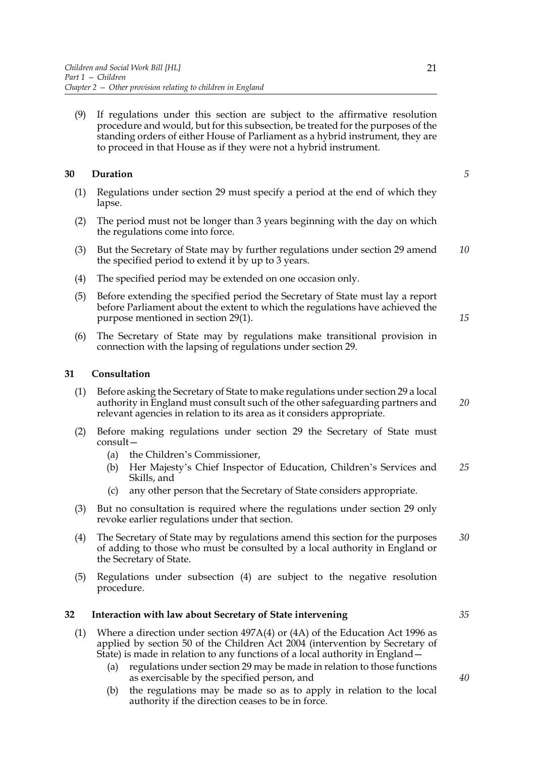(9) If regulations under this section are subject to the affirmative resolution procedure and would, but for this subsection, be treated for the purposes of the standing orders of either House of Parliament as a hybrid instrument, they are to proceed in that House as if they were not a hybrid instrument.

# **30 Duration**

*5*

*15*

- (1) Regulations under section 29 must specify a period at the end of which they lapse.
- (2) The period must not be longer than 3 years beginning with the day on which the regulations come into force.
- (3) But the Secretary of State may by further regulations under section 29 amend the specified period to extend it by up to 3 years. *10*
- (4) The specified period may be extended on one occasion only.
- (5) Before extending the specified period the Secretary of State must lay a report before Parliament about the extent to which the regulations have achieved the purpose mentioned in section 29(1).
- (6) The Secretary of State may by regulations make transitional provision in connection with the lapsing of regulations under section 29.

# **31 Consultation**

- (1) Before asking the Secretary of State to make regulations under section 29 a local authority in England must consult such of the other safeguarding partners and relevant agencies in relation to its area as it considers appropriate. *20*
- (2) Before making regulations under section 29 the Secretary of State must consult—
	- (a) the Children's Commissioner,
	- (b) Her Majesty's Chief Inspector of Education, Children's Services and Skills, and *25*
	- (c) any other person that the Secretary of State considers appropriate.
- (3) But no consultation is required where the regulations under section 29 only revoke earlier regulations under that section.
- (4) The Secretary of State may by regulations amend this section for the purposes of adding to those who must be consulted by a local authority in England or the Secretary of State. *30*
- (5) Regulations under subsection (4) are subject to the negative resolution procedure.

#### **32 Interaction with law about Secretary of State intervening**

- (1) Where a direction under section 497A(4) or (4A) of the Education Act 1996 as applied by section 50 of the Children Act 2004 (intervention by Secretary of State) is made in relation to any functions of a local authority in England —
	- (a) regulations under section 29 may be made in relation to those functions as exercisable by the specified person, and
	- (b) the regulations may be made so as to apply in relation to the local authority if the direction ceases to be in force.

*35*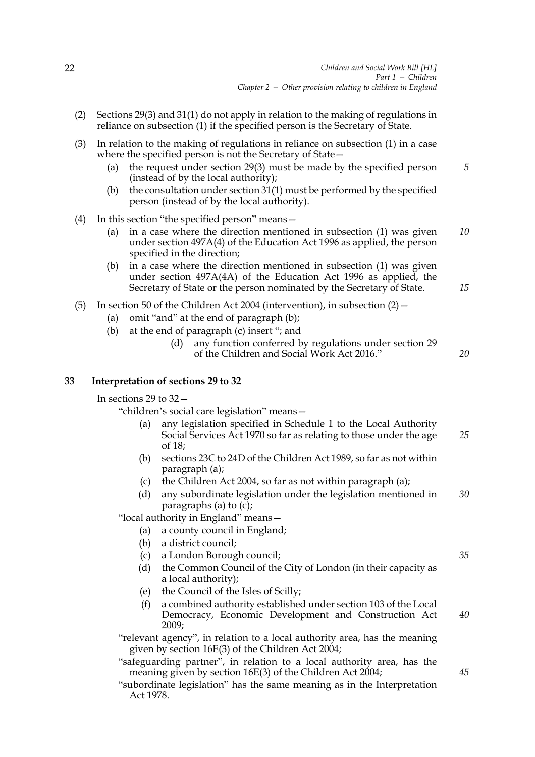- (2) Sections 29(3) and 31(1) do not apply in relation to the making of regulations in reliance on subsection (1) if the specified person is the Secretary of State.
- (3) In relation to the making of regulations in reliance on subsection (1) in a case where the specified person is not the Secretary of State—
	- (a) the request under section 29(3) must be made by the specified person (instead of by the local authority); *5*
	- (b) the consultation under section 31(1) must be performed by the specified person (instead of by the local authority).
- (4) In this section "the specified person" means—
	- (a) in a case where the direction mentioned in subsection (1) was given under section 497A(4) of the Education Act 1996 as applied, the person specified in the direction; *10*
	- (b) in a case where the direction mentioned in subsection (1) was given under section 497A(4A) of the Education Act 1996 as applied, the Secretary of State or the person nominated by the Secretary of State.
- (5) In section 50 of the Children Act 2004 (intervention), in subsection (2)—
	- (a) omit "and" at the end of paragraph (b);
	- (b) at the end of paragraph (c) insert "; and
		- (d) any function conferred by regulations under section 29 of the Children and Social Work Act 2016."

*20*

*15*

# **33 Interpretation of sections 29 to 32**

In sections 29 to 32—

"children's social care legislation" means—

- (a) any legislation specified in Schedule 1 to the Local Authority Social Services Act 1970 so far as relating to those under the age of 18; *25*
- (b) sections 23C to 24D of the Children Act 1989, so far as not within paragraph (a);
- (c) the Children Act 2004, so far as not within paragraph (a);
- (d) any subordinate legislation under the legislation mentioned in paragraphs (a) to (c); *30*

"local authority in England" means—

- (a) a county council in England;
- (b) a district council;
- (c) a London Borough council;
- (d) the Common Council of the City of London (in their capacity as a local authority);
- (e) the Council of the Isles of Scilly;
- (f) a combined authority established under section 103 of the Local Democracy, Economic Development and Construction Act 2009; *40*

"relevant agency", in relation to a local authority area, has the meaning given by section 16E(3) of the Children Act 2004;

- "safeguarding partner", in relation to a local authority area, has the meaning given by section 16E(3) of the Children Act 2004;
- "subordinate legislation" has the same meaning as in the Interpretation Act 1978.

*45*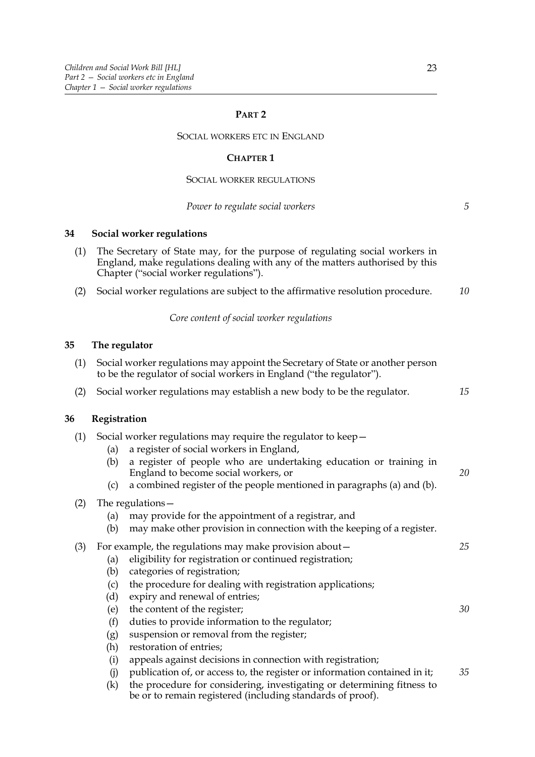# **PART 2**

#### SOCIAL WORKERS ETC IN ENGLAND

#### **CHAPTER 1**

#### SOCIAL WORKER REGULATIONS

*Power to regulate social workers*

*5*

*20*

*25*

*30*

# **34 Social worker regulations**

- (1) The Secretary of State may, for the purpose of regulating social workers in England, make regulations dealing with any of the matters authorised by this Chapter ("social worker regulations").
- (2) Social worker regulations are subject to the affirmative resolution procedure. *10*

*Core content of social worker regulations*

#### **35 The regulator**

| (1) Social worker regulations may appoint the Secretary of State or another person |
|------------------------------------------------------------------------------------|
| to be the regulator of social workers in England ("the regulator").                |

(2) Social worker regulations may establish a new body to be the regulator. *15*

#### **36 Registration**

| (1) |  |  | , Social worker regulations may require the regulator to keep $-$ |
|-----|--|--|-------------------------------------------------------------------|
|     |  |  |                                                                   |
|     |  |  |                                                                   |

- (a) a register of social workers in England,
	- (b) a register of people who are undertaking education or training in England to become social workers, or
	- (c) a combined register of the people mentioned in paragraphs (a) and (b).

| (2) | The regulations - |
|-----|-------------------|
|-----|-------------------|

- (a) may provide for the appointment of a registrar, and
- (b) may make other provision in connection with the keeping of a register.

# (3) For example, the regulations may make provision about—

- (a) eligibility for registration or continued registration;
- (b) categories of registration;
- (c) the procedure for dealing with registration applications;
- (d) expiry and renewal of entries;
- (e) the content of the register;
- (f) duties to provide information to the regulator;
- (g) suspension or removal from the register;
- (h) restoration of entries;
- (i) appeals against decisions in connection with registration;
- (j) publication of, or access to, the register or information contained in it; *35*
- (k) the procedure for considering, investigating or determining fitness to be or to remain registered (including standards of proof).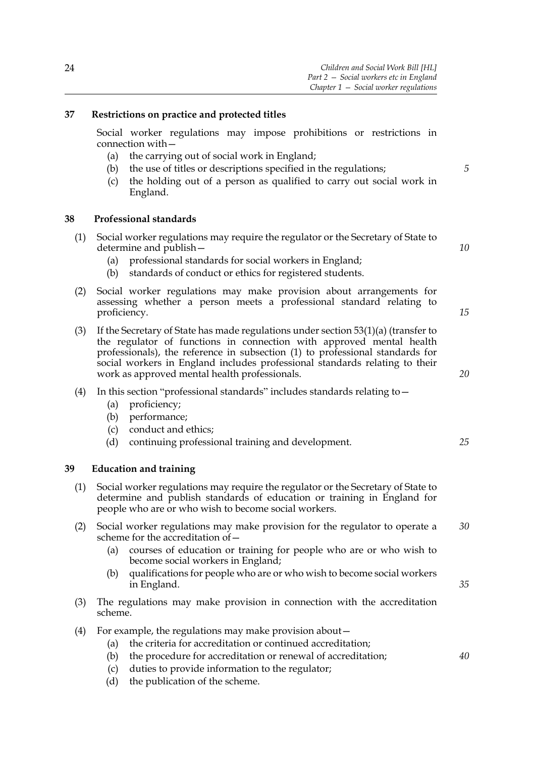# **37 Restrictions on practice and protected titles**

Social worker regulations may impose prohibitions or restrictions in connection with—

- (a) the carrying out of social work in England;
- (b) the use of titles or descriptions specified in the regulations;
- (c) the holding out of a person as qualified to carry out social work in England.

#### **38 Professional standards**

- (1) Social worker regulations may require the regulator or the Secretary of State to determine and publish—
	- (a) professional standards for social workers in England;
	- (b) standards of conduct or ethics for registered students.
- (2) Social worker regulations may make provision about arrangements for assessing whether a person meets a professional standard relating to proficiency.
- (3) If the Secretary of State has made regulations under section  $53(1)(a)$  (transfer to the regulator of functions in connection with approved mental health professionals), the reference in subsection (1) to professional standards for social workers in England includes professional standards relating to their work as approved mental health professionals.

#### (4) In this section "professional standards" includes standards relating to—

- (a) proficiency;
- (b) performance;
- (c) conduct and ethics;
- (d) continuing professional training and development.

#### **39 Education and training**

- (1) Social worker regulations may require the regulator or the Secretary of State to determine and publish standards of education or training in England for people who are or who wish to become social workers.
- (2) Social worker regulations may make provision for the regulator to operate a scheme for the accreditation of— *30*
	- (a) courses of education or training for people who are or who wish to become social workers in England;
	- (b) qualifications for people who are or who wish to become social workers in England.
- (3) The regulations may make provision in connection with the accreditation scheme.
- (4) For example, the regulations may make provision about—
	- (a) the criteria for accreditation or continued accreditation;
	- (b) the procedure for accreditation or renewal of accreditation;
	- (c) duties to provide information to the regulator;
	- (d) the publication of the scheme.

*10*

*5*

*15*

*20*

*25*

*35*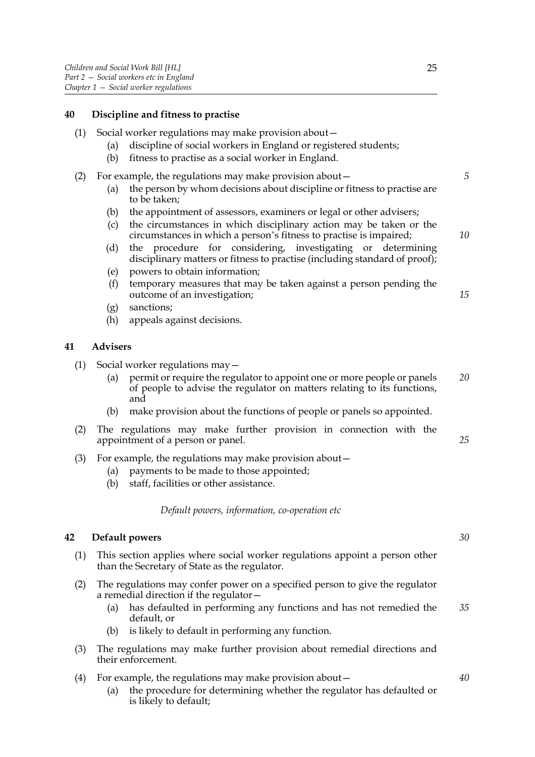# **40 Discipline and fitness to practise**

- (1) Social worker regulations may make provision about—
	- (a) discipline of social workers in England or registered students;
	- (b) fitness to practise as a social worker in England.
- (2) For example, the regulations may make provision about—
	- (a) the person by whom decisions about discipline or fitness to practise are to be taken;
	- (b) the appointment of assessors, examiners or legal or other advisers;
	- (c) the circumstances in which disciplinary action may be taken or the circumstances in which a person's fitness to practise is impaired;
	- (d) the procedure for considering, investigating or determining disciplinary matters or fitness to practise (including standard of proof);
	- (e) powers to obtain information;
	- (f) temporary measures that may be taken against a person pending the outcome of an investigation;
	- (g) sanctions;
	- (h) appeals against decisions.

#### **41 Advisers**

- (1) Social worker regulations may—
	- (a) permit or require the regulator to appoint one or more people or panels of people to advise the regulator on matters relating to its functions, and *20*
	- (b) make provision about the functions of people or panels so appointed.
- (2) The regulations may make further provision in connection with the appointment of a person or panel. *25*
- (3) For example, the regulations may make provision about—
	- (a) payments to be made to those appointed;
	- (b) staff, facilities or other assistance.

*Default powers, information, co-operation etc*

#### **42 Default powers**

- (1) This section applies where social worker regulations appoint a person other than the Secretary of State as the regulator.
- (2) The regulations may confer power on a specified person to give the regulator a remedial direction if the regulator—
	- (a) has defaulted in performing any functions and has not remedied the default, or *35*
	- (b) is likely to default in performing any function.
- (3) The regulations may make further provision about remedial directions and their enforcement.
- (4) For example, the regulations may make provision about—
	- (a) the procedure for determining whether the regulator has defaulted or is likely to default;

*5*

*10*

*15*

*30*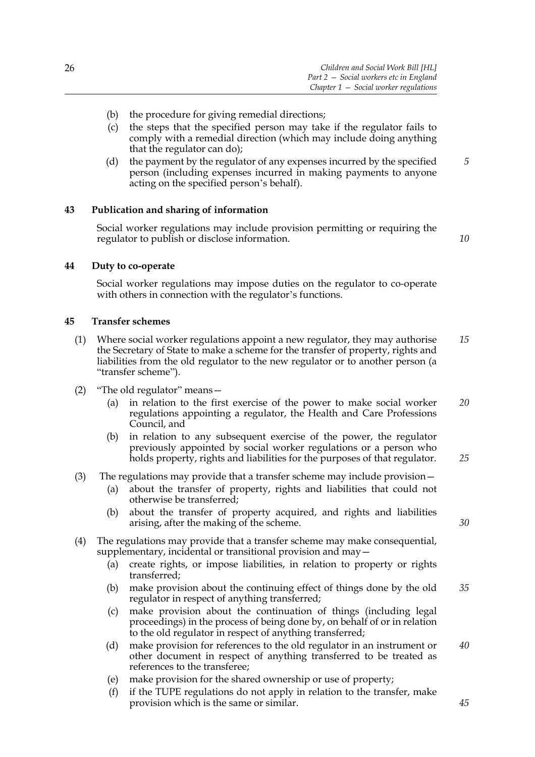- (b) the procedure for giving remedial directions;
- (c) the steps that the specified person may take if the regulator fails to comply with a remedial direction (which may include doing anything that the regulator can do);
- (d) the payment by the regulator of any expenses incurred by the specified person (including expenses incurred in making payments to anyone acting on the specified person's behalf). *5*

# **43 Publication and sharing of information**

Social worker regulations may include provision permitting or requiring the regulator to publish or disclose information.

*10*

# **44 Duty to co-operate**

Social worker regulations may impose duties on the regulator to co-operate with others in connection with the regulator's functions.

# **45 Transfer schemes**

- (1) Where social worker regulations appoint a new regulator, they may authorise the Secretary of State to make a scheme for the transfer of property, rights and liabilities from the old regulator to the new regulator or to another person (a "transfer scheme"). *15*
- (2) "The old regulator" means—
	- (a) in relation to the first exercise of the power to make social worker regulations appointing a regulator, the Health and Care Professions Council, and *20*
	- (b) in relation to any subsequent exercise of the power, the regulator previously appointed by social worker regulations or a person who holds property, rights and liabilities for the purposes of that regulator.
- (3) The regulations may provide that a transfer scheme may include provision—
	- (a) about the transfer of property, rights and liabilities that could not otherwise be transferred;
		- (b) about the transfer of property acquired, and rights and liabilities arising, after the making of the scheme.
- (4) The regulations may provide that a transfer scheme may make consequential, supplementary, incidental or transitional provision and may -
	- (a) create rights, or impose liabilities, in relation to property or rights transferred;
	- (b) make provision about the continuing effect of things done by the old regulator in respect of anything transferred; *35*
	- (c) make provision about the continuation of things (including legal proceedings) in the process of being done by, on behalf of or in relation to the old regulator in respect of anything transferred;
	- (d) make provision for references to the old regulator in an instrument or other document in respect of anything transferred to be treated as references to the transferee; *40*
	- (e) make provision for the shared ownership or use of property;
	- (f) if the TUPE regulations do not apply in relation to the transfer, make provision which is the same or similar.

*30*

*25*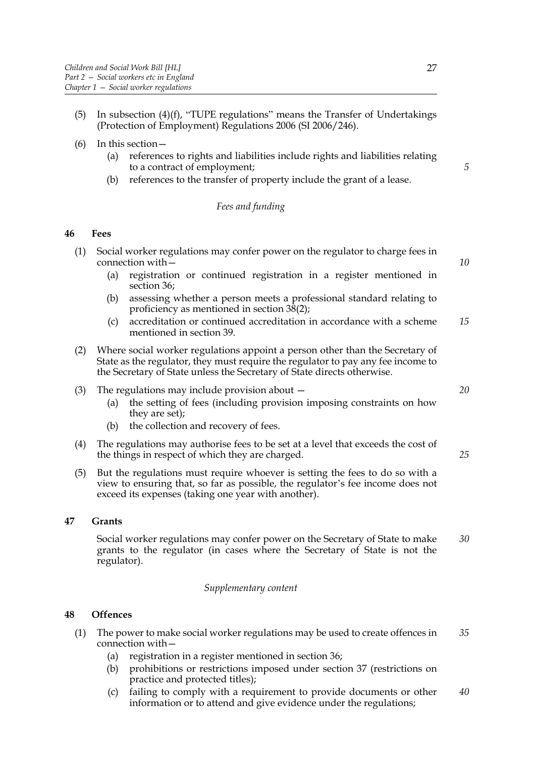- (5) In subsection (4)(f), "TUPE regulations" means the Transfer of Undertakings (Protection of Employment) Regulations 2006 (SI 2006/246).
- (6) In this section—
	- (a) references to rights and liabilities include rights and liabilities relating to a contract of employment;
	- (b) references to the transfer of property include the grant of a lease.

# *Fees and funding*

## **46 Fees**

- (1) Social worker regulations may confer power on the regulator to charge fees in connection with—
	- (a) registration or continued registration in a register mentioned in section 36;
	- (b) assessing whether a person meets a professional standard relating to proficiency as mentioned in section 38(2);
	- (c) accreditation or continued accreditation in accordance with a scheme mentioned in section 39. *15*
- (2) Where social worker regulations appoint a person other than the Secretary of State as the regulator, they must require the regulator to pay any fee income to the Secretary of State unless the Secretary of State directs otherwise.
- (3) The regulations may include provision about
	- (a) the setting of fees (including provision imposing constraints on how they are set);
	- (b) the collection and recovery of fees.
- (4) The regulations may authorise fees to be set at a level that exceeds the cost of the things in respect of which they are charged.
- (5) But the regulations must require whoever is setting the fees to do so with a view to ensuring that, so far as possible, the regulator's fee income does not exceed its expenses (taking one year with another).

# **47 Grants**

Social worker regulations may confer power on the Secretary of State to make grants to the regulator (in cases where the Secretary of State is not the regulator). *30*

#### *Supplementary content*

# **48 Offences**

- (1) The power to make social worker regulations may be used to create offences in connection with— *35*
	- (a) registration in a register mentioned in section 36;
	- (b) prohibitions or restrictions imposed under section 37 (restrictions on practice and protected titles);
	- (c) failing to comply with a requirement to provide documents or other information or to attend and give evidence under the regulations; *40*

*20*

*5*

*10*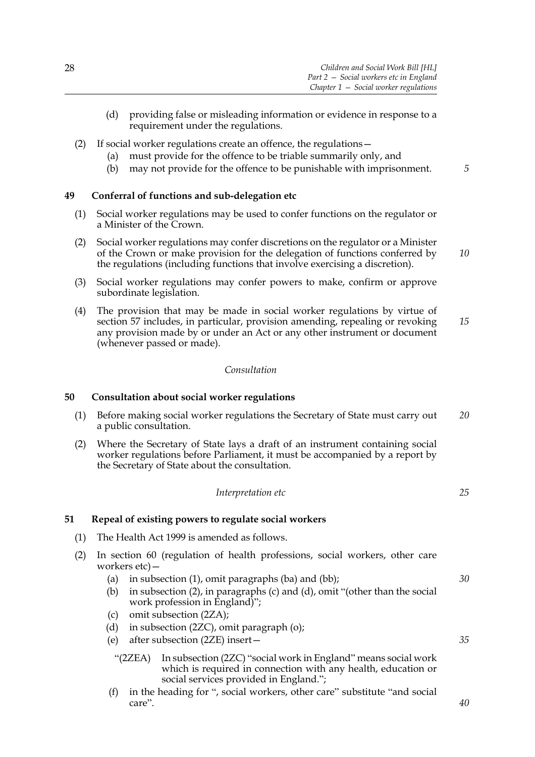- (d) providing false or misleading information or evidence in response to a requirement under the regulations.
- (2) If social worker regulations create an offence, the regulations—
	- (a) must provide for the offence to be triable summarily only, and
	- (b) may not provide for the offence to be punishable with imprisonment.

# **49 Conferral of functions and sub-delegation etc**

- (1) Social worker regulations may be used to confer functions on the regulator or a Minister of the Crown.
- (2) Social worker regulations may confer discretions on the regulator or a Minister of the Crown or make provision for the delegation of functions conferred by the regulations (including functions that involve exercising a discretion). *10*
- (3) Social worker regulations may confer powers to make, confirm or approve subordinate legislation.
- (4) The provision that may be made in social worker regulations by virtue of section 57 includes, in particular, provision amending, repealing or revoking any provision made by or under an Act or any other instrument or document (whenever passed or made). *15*

#### *Consultation*

# **50 Consultation about social worker regulations**

- (1) Before making social worker regulations the Secretary of State must carry out a public consultation. *20*
- (2) Where the Secretary of State lays a draft of an instrument containing social worker regulations before Parliament, it must be accompanied by a report by the Secretary of State about the consultation.

#### *Interpretation etc*

# **51 Repeal of existing powers to regulate social workers**

- (1) The Health Act 1999 is amended as follows.
- (2) In section 60 (regulation of health professions, social workers, other care workers etc)—
	- (a) in subsection (1), omit paragraphs (ba) and (bb);
	- (b) in subsection (2), in paragraphs (c) and (d), omit "(other than the social work profession in England)";
	- (c) omit subsection (2ZA);
	- (d) in subsection (2ZC), omit paragraph (o);
	- (e) after subsection (2ZE) insert—
		- "(2ZEA) In subsection (2ZC) "social work in England" means social work which is required in connection with any health, education or social services provided in England.";
	- (f) in the heading for ", social workers, other care" substitute "and social care".

*25*

*30*

*35*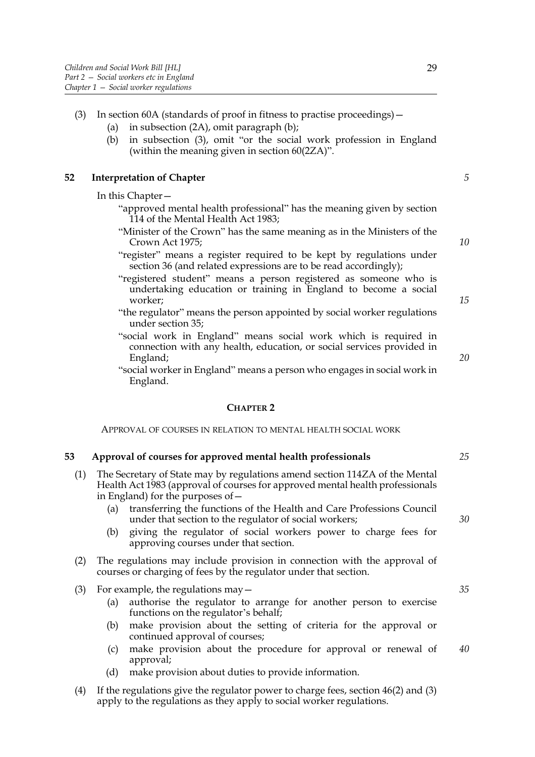- (3) In section 60A (standards of proof in fitness to practise proceedings)—
	- (a) in subsection (2A), omit paragraph (b);
	- (b) in subsection (3), omit "or the social work profession in England (within the meaning given in section 60(2ZA)".

#### **52 Interpretation of Chapter**

In this Chapter—

- "approved mental health professional" has the meaning given by section 114 of the Mental Health Act 1983;
- "Minister of the Crown" has the same meaning as in the Ministers of the Crown Act 1975;
- "register" means a register required to be kept by regulations under section 36 (and related expressions are to be read accordingly);
- "registered student" means a person registered as someone who is undertaking education or training in England to become a social worker;
- "the regulator" means the person appointed by social worker regulations under section 35;
- "social work in England" means social work which is required in connection with any health, education, or social services provided in England;
- "social worker in England" means a person who engages in social work in England.

#### **CHAPTER 2**

APPROVAL OF COURSES IN RELATION TO MENTAL HEALTH SOCIAL WORK

#### **53 Approval of courses for approved mental health professionals**

- (1) The Secretary of State may by regulations amend section 114ZA of the Mental Health Act 1983 (approval of courses for approved mental health professionals in England) for the purposes of—
	- (a) transferring the functions of the Health and Care Professions Council under that section to the regulator of social workers;
	- (b) giving the regulator of social workers power to charge fees for approving courses under that section.
- (2) The regulations may include provision in connection with the approval of courses or charging of fees by the regulator under that section.
- (3) For example, the regulations  $\text{may}$ 
	- (a) authorise the regulator to arrange for another person to exercise functions on the regulator's behalf;
	- (b) make provision about the setting of criteria for the approval or continued approval of courses;
	- (c) make provision about the procedure for approval or renewal of approval; *40*
	- (d) make provision about duties to provide information.
- (4) If the regulations give the regulator power to charge fees, section 46(2) and (3) apply to the regulations as they apply to social worker regulations.

*10*

*5*

*15*

*20*

*30*

*25*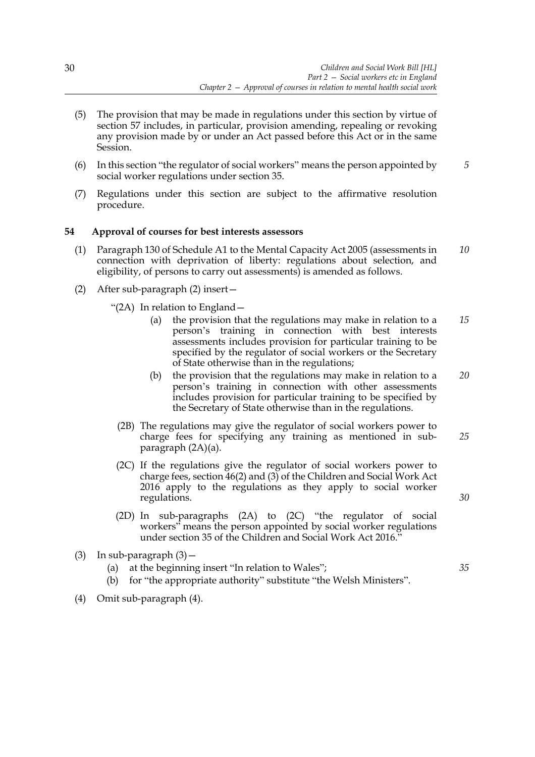- (5) The provision that may be made in regulations under this section by virtue of section 57 includes, in particular, provision amending, repealing or revoking any provision made by or under an Act passed before this Act or in the same Session.
- (6) In this section "the regulator of social workers" means the person appointed by social worker regulations under section 35. *5*
- (7) Regulations under this section are subject to the affirmative resolution procedure.

# **54 Approval of courses for best interests assessors**

- (1) Paragraph 130 of Schedule A1 to the Mental Capacity Act 2005 (assessments in connection with deprivation of liberty: regulations about selection, and eligibility, of persons to carry out assessments) is amended as follows. *10*
- (2) After sub-paragraph (2) insert—

"(2A) In relation to England—

- (a) the provision that the regulations may make in relation to a person's training in connection with best interests assessments includes provision for particular training to be specified by the regulator of social workers or the Secretary of State otherwise than in the regulations; *15*
- (b) the provision that the regulations may make in relation to a person's training in connection with other assessments includes provision for particular training to be specified by the Secretary of State otherwise than in the regulations. *20*

*30*

- (2B) The regulations may give the regulator of social workers power to charge fees for specifying any training as mentioned in subparagraph (2A)(a). *25*
- (2C) If the regulations give the regulator of social workers power to charge fees, section  $\overline{46(2)}$  and  $\overline{(3)}$  of the Children and Social Work Act 2016 apply to the regulations as they apply to social worker regulations.
- (2D) In sub-paragraphs (2A) to (2C) "the regulator of social workers" means the person appointed by social worker regulations under section 35 of the Children and Social Work Act 2016."
- (3) In sub-paragraph  $(3)$  -
	- (a) at the beginning insert "In relation to Wales";
	- (b) for "the appropriate authority" substitute "the Welsh Ministers".
- (4) Omit sub-paragraph (4).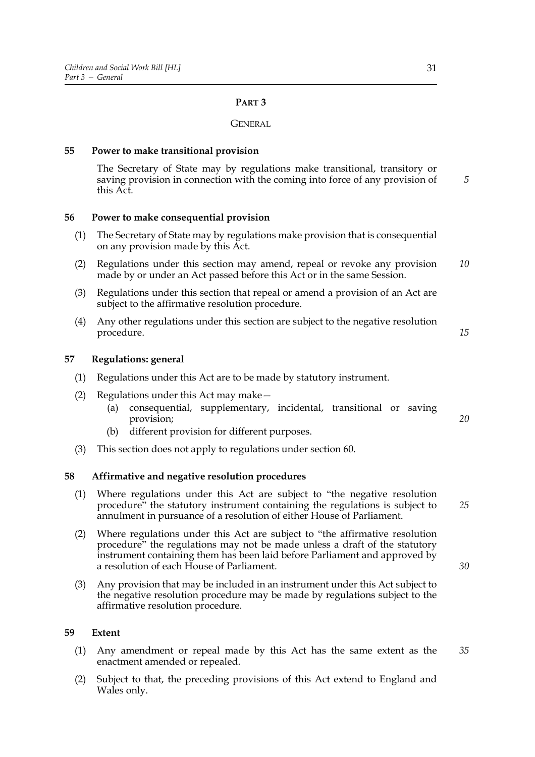# **PART 3**

#### **GENERAL**

### **55 Power to make transitional provision**

The Secretary of State may by regulations make transitional, transitory or saving provision in connection with the coming into force of any provision of this Act.

#### **56 Power to make consequential provision**

- (1) The Secretary of State may by regulations make provision that is consequential on any provision made by this Act.
- (2) Regulations under this section may amend, repeal or revoke any provision made by or under an Act passed before this Act or in the same Session. *10*
- (3) Regulations under this section that repeal or amend a provision of an Act are subject to the affirmative resolution procedure.
- (4) Any other regulations under this section are subject to the negative resolution procedure.

# **57 Regulations: general**

- (1) Regulations under this Act are to be made by statutory instrument.
- (2) Regulations under this Act may make—
	- (a) consequential, supplementary, incidental, transitional or saving provision;
	- (b) different provision for different purposes.
- (3) This section does not apply to regulations under section 60.

#### **58 Affirmative and negative resolution procedures**

- (1) Where regulations under this Act are subject to "the negative resolution procedure" the statutory instrument containing the regulations is subject to annulment in pursuance of a resolution of either House of Parliament. *25*
- (2) Where regulations under this Act are subject to "the affirmative resolution procedure" the regulations may not be made unless a draft of the statutory instrument containing them has been laid before Parliament and approved by a resolution of each House of Parliament.
- (3) Any provision that may be included in an instrument under this Act subject to the negative resolution procedure may be made by regulations subject to the affirmative resolution procedure.

#### **59 Extent**

- (1) Any amendment or repeal made by this Act has the same extent as the enactment amended or repealed. *35*
- (2) Subject to that, the preceding provisions of this Act extend to England and Wales only.

*5*

*15*

*20*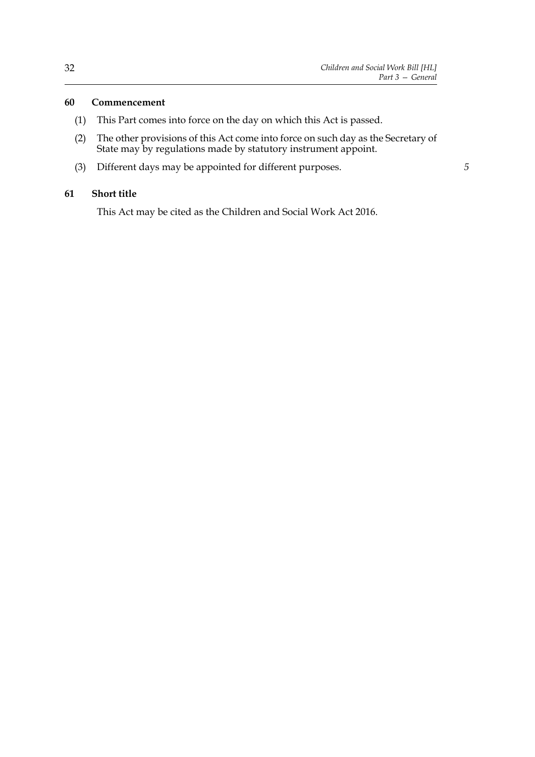*5*

# **60 Commencement**

- (1) This Part comes into force on the day on which this Act is passed.
- (2) The other provisions of this Act come into force on such day as the Secretary of State may by regulations made by statutory instrument appoint.
- (3) Different days may be appointed for different purposes.

# **61 Short title**

This Act may be cited as the Children and Social Work Act 2016.